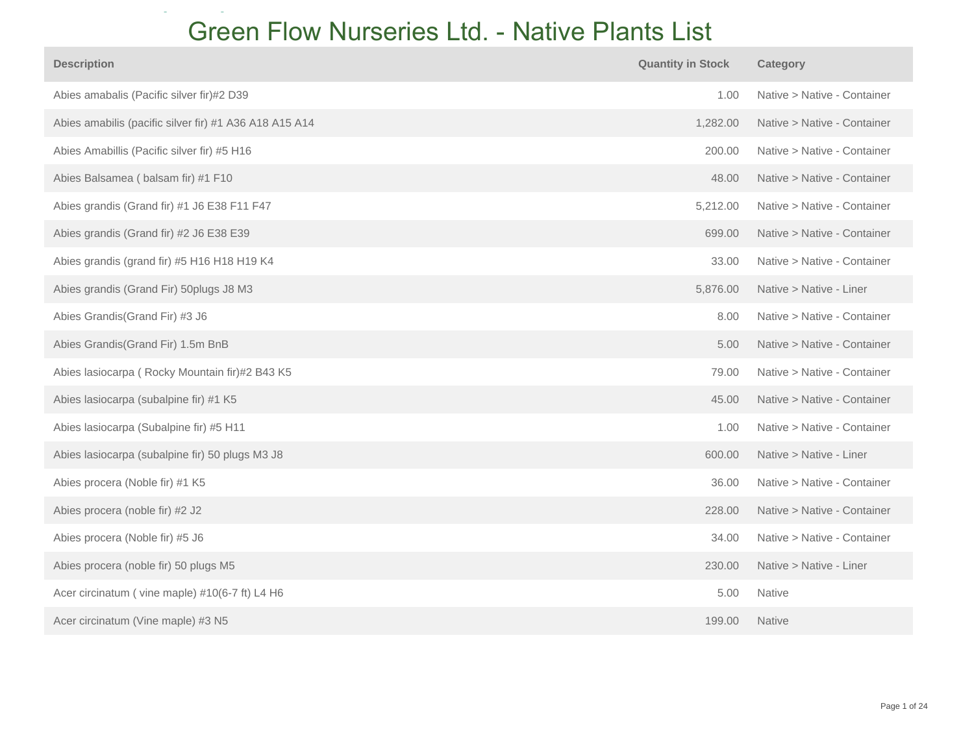## **Green Flow Nurseries Ltd. - Native Plants List**

| <b>Description</b>                                     | <b>Quantity in Stock</b> | <b>Category</b>             |
|--------------------------------------------------------|--------------------------|-----------------------------|
| Abies amabalis (Pacific silver fir)#2 D39              | 1.00                     | Native > Native - Container |
| Abies amabilis (pacific silver fir) #1 A36 A18 A15 A14 | 1,282.00                 | Native > Native - Container |
| Abies Amabillis (Pacific silver fir) #5 H16            | 200.00                   | Native > Native - Container |
| Abies Balsamea (balsam fir) #1 F10                     | 48.00                    | Native > Native - Container |
| Abies grandis (Grand fir) #1 J6 E38 F11 F47            | 5,212.00                 | Native > Native - Container |
| Abies grandis (Grand fir) #2 J6 E38 E39                | 699.00                   | Native > Native - Container |
| Abies grandis (grand fir) #5 H16 H18 H19 K4            | 33.00                    | Native > Native - Container |
| Abies grandis (Grand Fir) 50plugs J8 M3                | 5,876.00                 | Native > Native - Liner     |
| Abies Grandis (Grand Fir) #3 J6                        | 8.00                     | Native > Native - Container |
| Abies Grandis(Grand Fir) 1.5m BnB                      | 5.00                     | Native > Native - Container |
| Abies lasiocarpa (Rocky Mountain fir)#2 B43 K5         | 79.00                    | Native > Native - Container |
| Abies lasiocarpa (subalpine fir) #1 K5                 | 45.00                    | Native > Native - Container |
| Abies lasiocarpa (Subalpine fir) #5 H11                | 1.00                     | Native > Native - Container |
| Abies lasiocarpa (subalpine fir) 50 plugs M3 J8        | 600.00                   | Native > Native - Liner     |
| Abies procera (Noble fir) #1 K5                        | 36.00                    | Native > Native - Container |
| Abies procera (noble fir) #2 J2                        | 228.00                   | Native > Native - Container |
| Abies procera (Noble fir) #5 J6                        | 34.00                    | Native > Native - Container |
| Abies procera (noble fir) 50 plugs M5                  | 230.00                   | Native > Native - Liner     |
| Acer circinatum (vine maple) #10(6-7 ft) L4 H6         | 5.00                     | <b>Native</b>               |
| Acer circinatum (Vine maple) #3 N5                     | 199.00                   | <b>Native</b>               |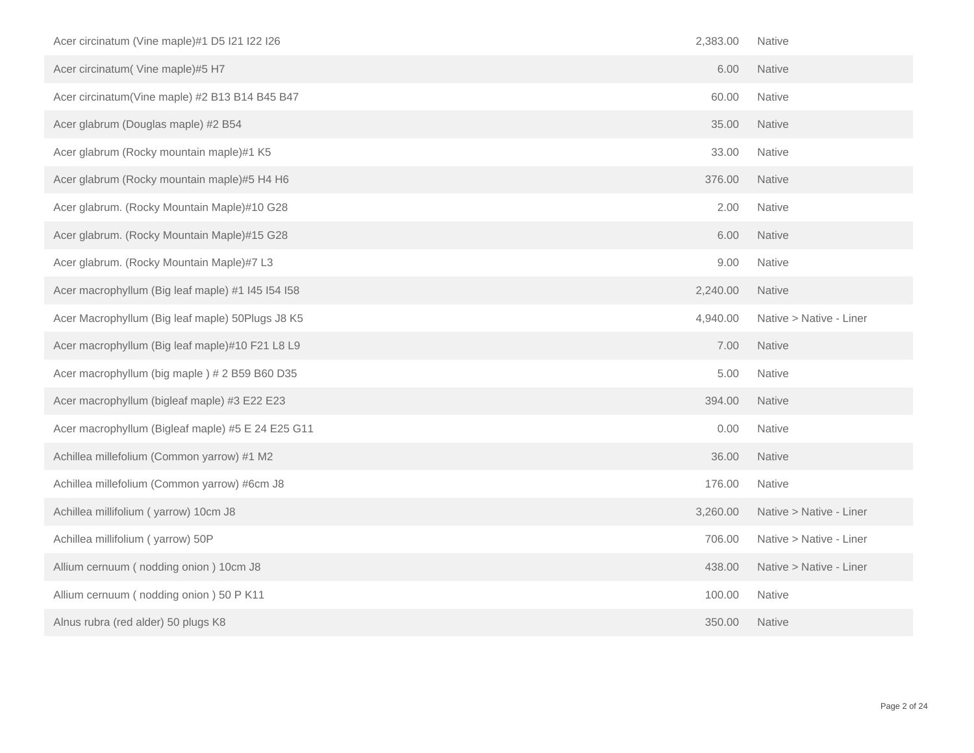| Acer circinatum (Vine maple)#1 D5 I21 I22 I26     | 2,383.00 | Native                  |
|---------------------------------------------------|----------|-------------------------|
| Acer circinatum(Vine maple)#5 H7                  | 6.00     | <b>Native</b>           |
| Acer circinatum(Vine maple) #2 B13 B14 B45 B47    | 60.00    | Native                  |
| Acer glabrum (Douglas maple) #2 B54               | 35.00    | Native                  |
| Acer glabrum (Rocky mountain maple)#1 K5          | 33.00    | Native                  |
| Acer glabrum (Rocky mountain maple)#5 H4 H6       | 376.00   | <b>Native</b>           |
| Acer glabrum. (Rocky Mountain Maple)#10 G28       | 2.00     | Native                  |
| Acer glabrum. (Rocky Mountain Maple)#15 G28       | 6.00     | Native                  |
| Acer glabrum. (Rocky Mountain Maple)#7 L3         | 9.00     | <b>Native</b>           |
| Acer macrophyllum (Big leaf maple) #1 I45 I54 I58 | 2,240.00 | Native                  |
| Acer Macrophyllum (Big leaf maple) 50Plugs J8 K5  | 4,940.00 | Native > Native - Liner |
| Acer macrophyllum (Big leaf maple)#10 F21 L8 L9   | 7.00     | Native                  |
| Acer macrophyllum (big maple) # 2 B59 B60 D35     | 5.00     | Native                  |
| Acer macrophyllum (bigleaf maple) #3 E22 E23      | 394.00   | Native                  |
| Acer macrophyllum (Bigleaf maple) #5 E 24 E25 G11 | 0.00     | Native                  |
| Achillea millefolium (Common yarrow) #1 M2        | 36.00    | Native                  |
| Achillea millefolium (Common yarrow) #6cm J8      | 176.00   | Native                  |
| Achillea millifolium (yarrow) 10cm J8             | 3,260.00 | Native > Native - Liner |
| Achillea millifolium (yarrow) 50P                 | 706.00   | Native > Native - Liner |
| Allium cernuum (nodding onion) 10cm J8            | 438.00   | Native > Native - Liner |
| Allium cernuum (nodding onion) 50 P K11           | 100.00   | Native                  |
| Alnus rubra (red alder) 50 plugs K8               | 350.00   | <b>Native</b>           |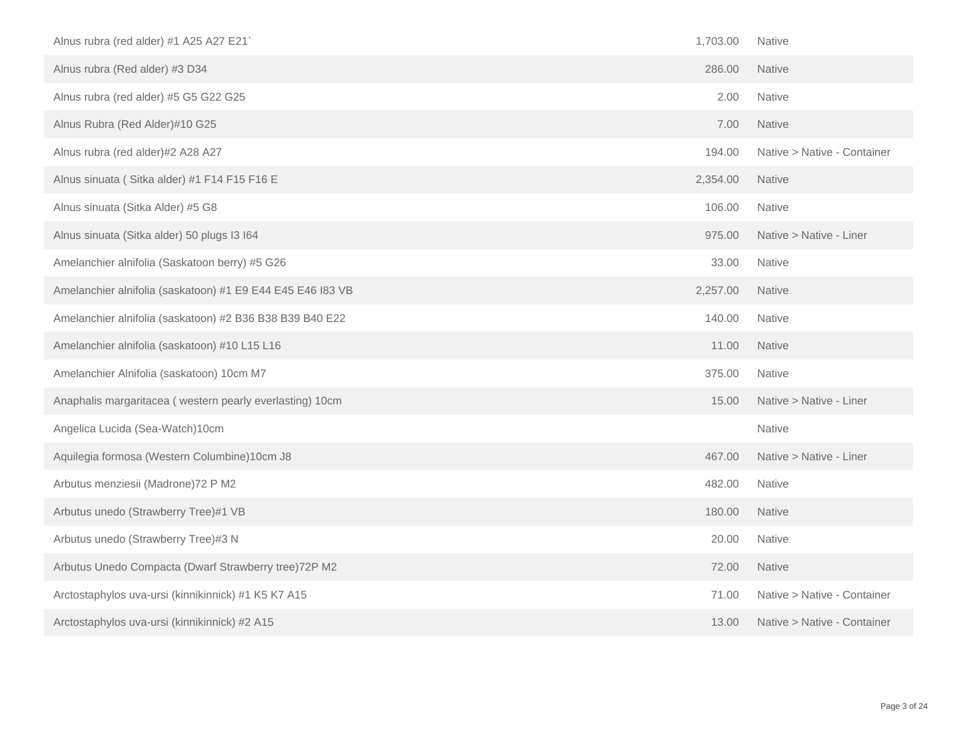| Alnus rubra (red alder) #1 A25 A27 E21`                    | 1,703.00 | Native                      |
|------------------------------------------------------------|----------|-----------------------------|
| Alnus rubra (Red alder) #3 D34                             | 286.00   | <b>Native</b>               |
| Alnus rubra (red alder) #5 G5 G22 G25                      | 2.00     | <b>Native</b>               |
| Alnus Rubra (Red Alder)#10 G25                             | 7.00     | Native                      |
| Alnus rubra (red alder)#2 A28 A27                          | 194.00   | Native > Native - Container |
| Alnus sinuata (Sitka alder) #1 F14 F15 F16 E               | 2,354.00 | <b>Native</b>               |
| Alnus sinuata (Sitka Alder) #5 G8                          | 106.00   | <b>Native</b>               |
| Alnus sinuata (Sitka alder) 50 plugs I3 I64                | 975.00   | Native > Native - Liner     |
| Amelanchier alnifolia (Saskatoon berry) #5 G26             | 33.00    | <b>Native</b>               |
| Amelanchier alnifolia (saskatoon) #1 E9 E44 E45 E46 I83 VB | 2,257.00 | <b>Native</b>               |
| Amelanchier alnifolia (saskatoon) #2 B36 B38 B39 B40 E22   | 140.00   | Native                      |
| Amelanchier alnifolia (saskatoon) #10 L15 L16              | 11.00    | <b>Native</b>               |
| Amelanchier Alnifolia (saskatoon) 10cm M7                  | 375.00   | <b>Native</b>               |
| Anaphalis margaritacea (western pearly everlasting) 10cm   | 15.00    | Native > Native - Liner     |
| Angelica Lucida (Sea-Watch)10cm                            |          | Native                      |
| Aquilegia formosa (Western Columbine)10cm J8               | 467.00   | Native > Native - Liner     |
| Arbutus menziesii (Madrone) 72 P M2                        | 482.00   | Native                      |
| Arbutus unedo (Strawberry Tree)#1 VB                       | 180.00   | <b>Native</b>               |
| Arbutus unedo (Strawberry Tree)#3 N                        | 20.00    | Native                      |
| Arbutus Unedo Compacta (Dwarf Strawberry tree) 72P M2      | 72.00    | Native                      |
| Arctostaphylos uva-ursi (kinnikinnick) #1 K5 K7 A15        | 71.00    | Native > Native - Container |
| Arctostaphylos uva-ursi (kinnikinnick) #2 A15              | 13.00    | Native > Native - Container |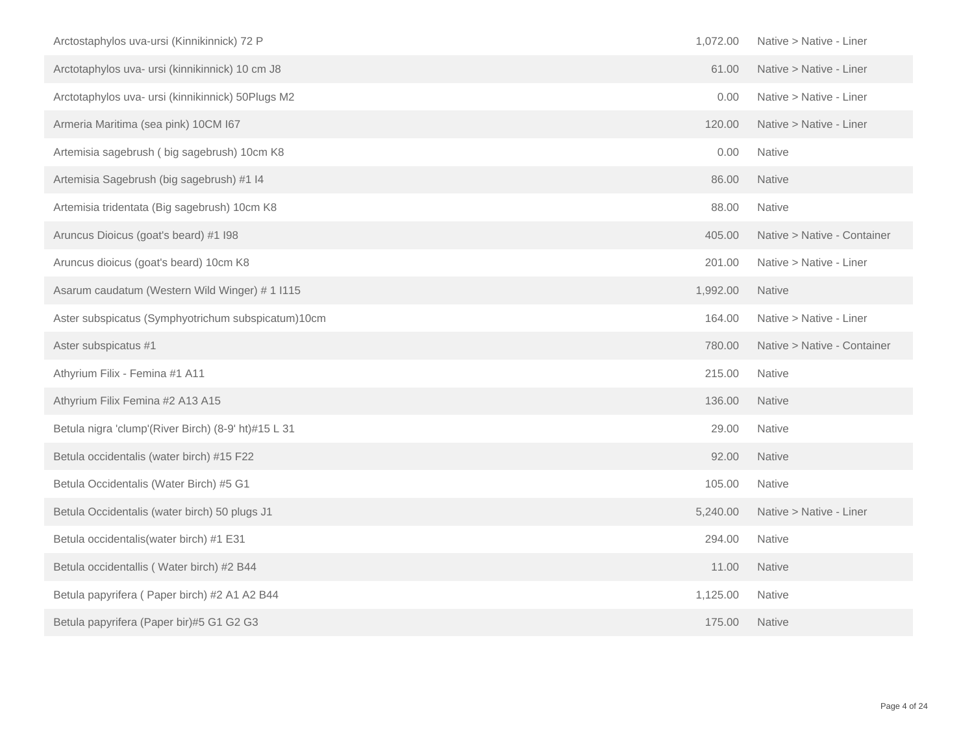| Arctostaphylos uva-ursi (Kinnikinnick) 72 P         | 1,072.00 | Native > Native - Liner     |
|-----------------------------------------------------|----------|-----------------------------|
| Arctotaphylos uva- ursi (kinnikinnick) 10 cm J8     | 61.00    | Native > Native - Liner     |
| Arctotaphylos uva- ursi (kinnikinnick) 50Plugs M2   | 0.00     | Native > Native - Liner     |
| Armeria Maritima (sea pink) 10CM I67                | 120.00   | Native > Native - Liner     |
| Artemisia sagebrush (big sagebrush) 10cm K8         | 0.00     | Native                      |
| Artemisia Sagebrush (big sagebrush) #1 I4           | 86.00    | <b>Native</b>               |
| Artemisia tridentata (Big sagebrush) 10cm K8        | 88.00    | Native                      |
| Aruncus Dioicus (goat's beard) #1 I98               | 405.00   | Native > Native - Container |
| Aruncus dioicus (goat's beard) 10cm K8              | 201.00   | Native > Native - Liner     |
| Asarum caudatum (Western Wild Winger) # 1 I115      | 1,992.00 | <b>Native</b>               |
| Aster subspicatus (Symphyotrichum subspicatum)10cm  | 164.00   | Native > Native - Liner     |
| Aster subspicatus #1                                | 780.00   | Native > Native - Container |
| Athyrium Filix - Femina #1 A11                      | 215.00   | <b>Native</b>               |
| Athyrium Filix Femina #2 A13 A15                    | 136.00   | <b>Native</b>               |
| Betula nigra 'clump'(River Birch) (8-9' ht)#15 L 31 | 29.00    | Native                      |
| Betula occidentalis (water birch) #15 F22           | 92.00    | <b>Native</b>               |
| Betula Occidentalis (Water Birch) #5 G1             | 105.00   | Native                      |
| Betula Occidentalis (water birch) 50 plugs J1       | 5,240.00 | Native > Native - Liner     |
| Betula occidentalis (water birch) #1 E31            | 294.00   | Native                      |
| Betula occidentallis (Water birch) #2 B44           | 11.00    | <b>Native</b>               |
| Betula papyrifera (Paper birch) #2 A1 A2 B44        | 1,125.00 | <b>Native</b>               |
| Betula papyrifera (Paper bir)#5 G1 G2 G3            | 175.00   | <b>Native</b>               |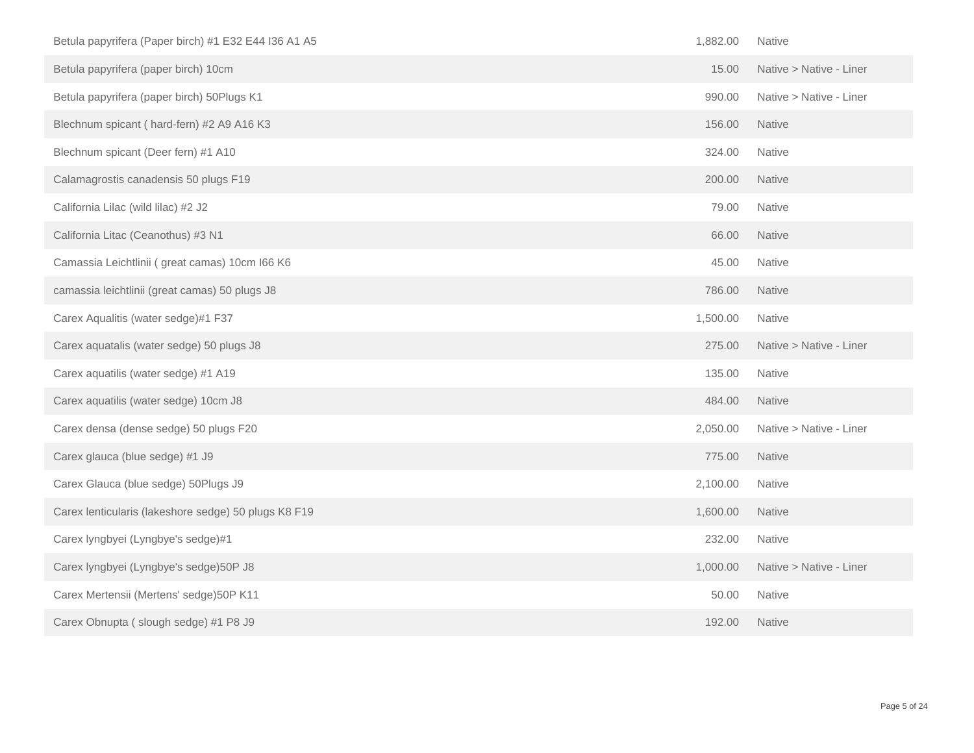| Betula papyrifera (Paper birch) #1 E32 E44 I36 A1 A5 | 1,882.00 | Native                  |
|------------------------------------------------------|----------|-------------------------|
| Betula papyrifera (paper birch) 10cm                 | 15.00    | Native > Native - Liner |
| Betula papyrifera (paper birch) 50Plugs K1           | 990.00   | Native > Native - Liner |
| Blechnum spicant (hard-fern) #2 A9 A16 K3            | 156.00   | <b>Native</b>           |
| Blechnum spicant (Deer fern) #1 A10                  | 324.00   | <b>Native</b>           |
| Calamagrostis canadensis 50 plugs F19                | 200.00   | Native                  |
| California Lilac (wild lilac) #2 J2                  | 79.00    | Native                  |
| California Litac (Ceanothus) #3 N1                   | 66.00    | <b>Native</b>           |
| Camassia Leichtlinii (great camas) 10cm I66 K6       | 45.00    | Native                  |
| camassia leichtlinii (great camas) 50 plugs J8       | 786.00   | <b>Native</b>           |
| Carex Aqualitis (water sedge)#1 F37                  | 1,500.00 | Native                  |
| Carex aquatalis (water sedge) 50 plugs J8            | 275.00   | Native > Native - Liner |
| Carex aquatilis (water sedge) #1 A19                 | 135.00   | <b>Native</b>           |
| Carex aquatilis (water sedge) 10cm J8                | 484.00   | Native                  |
| Carex densa (dense sedge) 50 plugs F20               | 2,050.00 | Native > Native - Liner |
| Carex glauca (blue sedge) #1 J9                      | 775.00   | Native                  |
| Carex Glauca (blue sedge) 50Plugs J9                 | 2,100.00 | Native                  |
| Carex lenticularis (lakeshore sedge) 50 plugs K8 F19 | 1,600.00 | <b>Native</b>           |
|                                                      |          |                         |
| Carex lyngbyei (Lyngbye's sedge)#1                   | 232.00   | <b>Native</b>           |
| Carex lyngbyei (Lyngbye's sedge)50P J8               | 1,000.00 | Native > Native - Liner |
| Carex Mertensii (Mertens' sedge) 50P K11             | 50.00    | Native                  |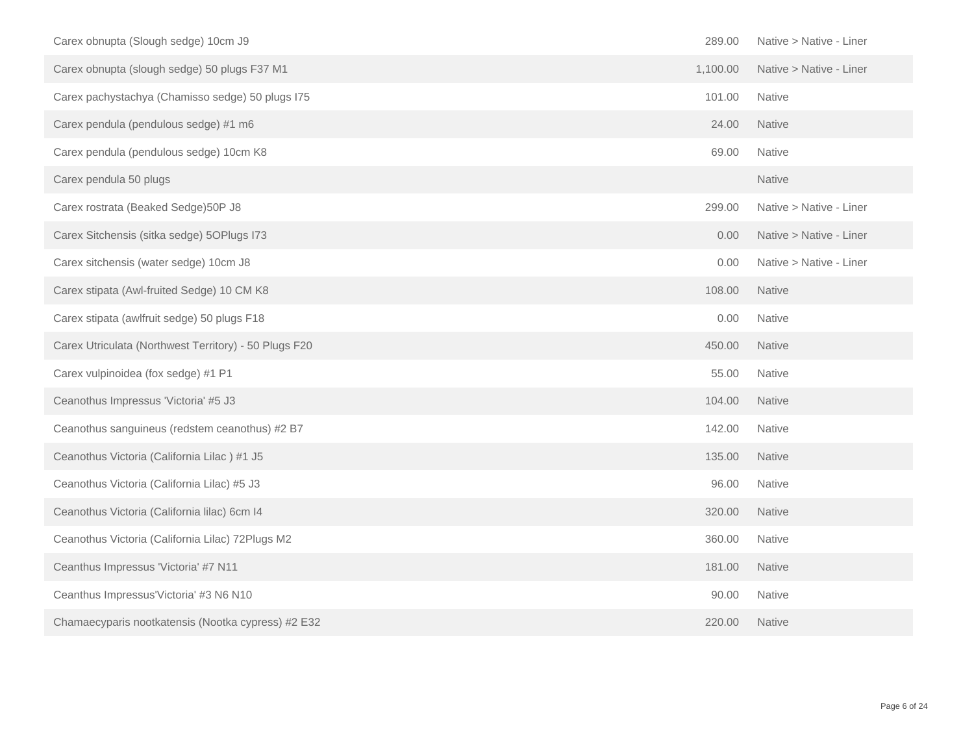| Carex obnupta (Slough sedge) 10cm J9                  | 289.00   | Native > Native - Liner |
|-------------------------------------------------------|----------|-------------------------|
| Carex obnupta (slough sedge) 50 plugs F37 M1          | 1,100.00 | Native > Native - Liner |
| Carex pachystachya (Chamisso sedge) 50 plugs I75      | 101.00   | Native                  |
| Carex pendula (pendulous sedge) #1 m6                 | 24.00    | <b>Native</b>           |
| Carex pendula (pendulous sedge) 10cm K8               | 69.00    | Native                  |
| Carex pendula 50 plugs                                |          | Native                  |
| Carex rostrata (Beaked Sedge) 50P J8                  | 299.00   | Native > Native - Liner |
| Carex Sitchensis (sitka sedge) 5OPlugs I73            | 0.00     | Native > Native - Liner |
| Carex sitchensis (water sedge) 10cm J8                | 0.00     | Native > Native - Liner |
| Carex stipata (Awl-fruited Sedge) 10 CM K8            | 108.00   | <b>Native</b>           |
| Carex stipata (awlfruit sedge) 50 plugs F18           | 0.00     | Native                  |
| Carex Utriculata (Northwest Territory) - 50 Plugs F20 | 450.00   | Native                  |
| Carex vulpinoidea (fox sedge) #1 P1                   | 55.00    | <b>Native</b>           |
| Ceanothus Impressus 'Victoria' #5 J3                  | 104.00   | <b>Native</b>           |
| Ceanothus sanguineus (redstem ceanothus) #2 B7        | 142.00   | Native                  |
| Ceanothus Victoria (California Lilac) #1 J5           | 135.00   | Native                  |
| Ceanothus Victoria (California Lilac) #5 J3           | 96.00    | Native                  |
| Ceanothus Victoria (California lilac) 6cm I4          | 320.00   | Native                  |
| Ceanothus Victoria (California Lilac) 72Plugs M2      | 360.00   | Native                  |
| Ceanthus Impressus 'Victoria' #7 N11                  | 181.00   | Native                  |
| Ceanthus Impressus'Victoria' #3 N6 N10                | 90.00    | Native                  |
| Chamaecyparis nootkatensis (Nootka cypress) #2 E32    | 220.00   | <b>Native</b>           |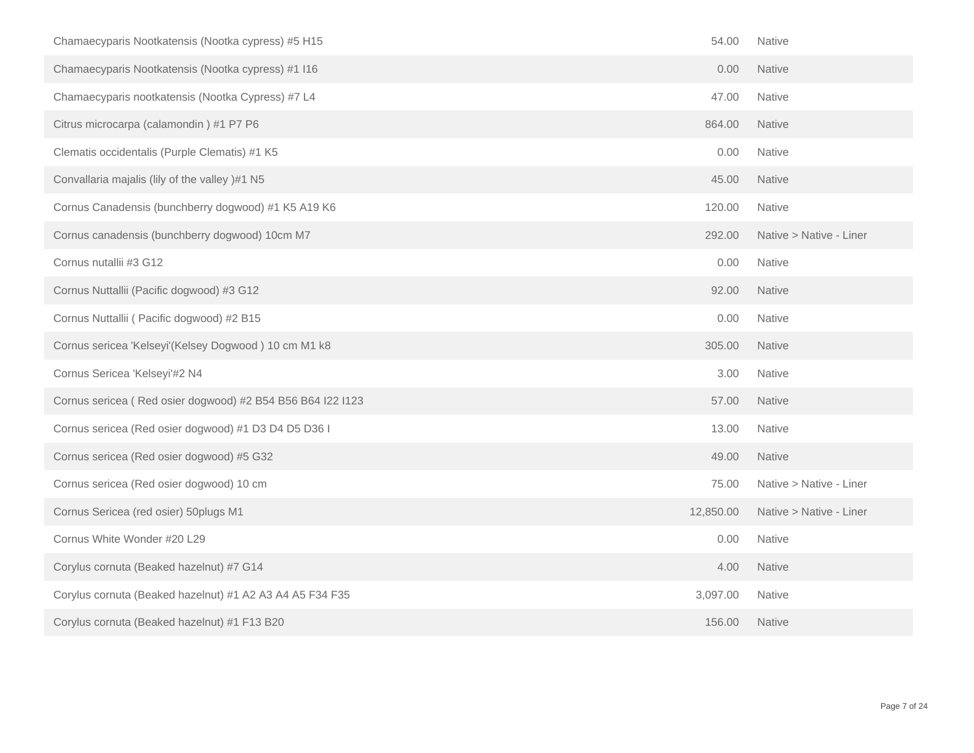| Chamaecyparis Nootkatensis (Nootka cypress) #5 H15         | 54.00     | Native                  |
|------------------------------------------------------------|-----------|-------------------------|
| Chamaecyparis Nootkatensis (Nootka cypress) #1 I16         | 0.00      | Native                  |
| Chamaecyparis nootkatensis (Nootka Cypress) #7 L4          | 47.00     | Native                  |
| Citrus microcarpa (calamondin) #1 P7 P6                    | 864.00    | <b>Native</b>           |
| Clematis occidentalis (Purple Clematis) #1 K5              | 0.00      | Native                  |
| Convallaria majalis (lily of the valley )#1 N5             | 45.00     | <b>Native</b>           |
| Cornus Canadensis (bunchberry dogwood) #1 K5 A19 K6        | 120.00    | Native                  |
| Cornus canadensis (bunchberry dogwood) 10cm M7             | 292.00    | Native > Native - Liner |
| Cornus nutallii #3 G12                                     | 0.00      | Native                  |
| Cornus Nuttallii (Pacific dogwood) #3 G12                  | 92.00     | Native                  |
| Cornus Nuttallii ( Pacific dogwood) #2 B15                 | 0.00      | Native                  |
| Cornus sericea 'Kelseyi'(Kelsey Dogwood) 10 cm M1 k8       | 305.00    | Native                  |
| Cornus Sericea 'Kelseyi'#2 N4                              | 3.00      | Native                  |
| Cornus sericea (Red osier dogwood) #2 B54 B56 B64 I22 I123 | 57.00     | Native                  |
| Cornus sericea (Red osier dogwood) #1 D3 D4 D5 D36 I       | 13.00     | Native                  |
| Cornus sericea (Red osier dogwood) #5 G32                  | 49.00     | Native                  |
| Cornus sericea (Red osier dogwood) 10 cm                   | 75.00     | Native > Native - Liner |
| Cornus Sericea (red osier) 50plugs M1                      | 12,850.00 | Native > Native - Liner |
| Cornus White Wonder #20 L29                                | 0.00      | Native                  |
| Corylus cornuta (Beaked hazelnut) #7 G14                   | 4.00      | Native                  |
| Corylus cornuta (Beaked hazelnut) #1 A2 A3 A4 A5 F34 F35   | 3,097.00  | <b>Native</b>           |
| Corylus cornuta (Beaked hazelnut) #1 F13 B20               | 156.00    | <b>Native</b>           |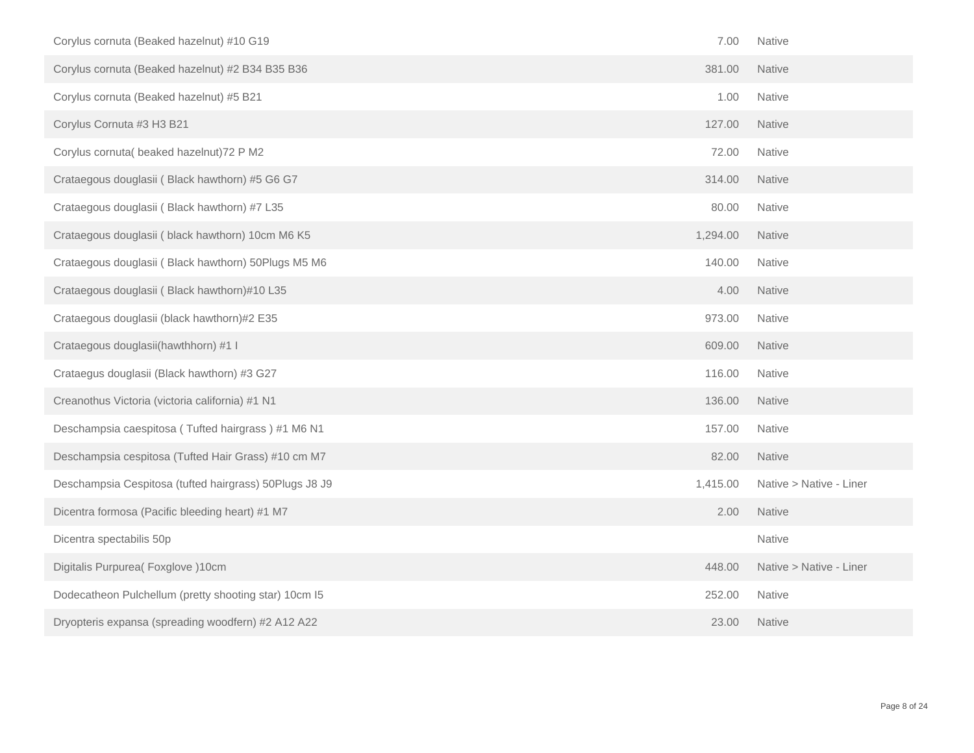| Corylus cornuta (Beaked hazelnut) #10 G19              | 7.00     | Native                  |
|--------------------------------------------------------|----------|-------------------------|
| Corylus cornuta (Beaked hazelnut) #2 B34 B35 B36       | 381.00   | <b>Native</b>           |
| Corylus cornuta (Beaked hazelnut) #5 B21               | 1.00     | <b>Native</b>           |
| Corylus Cornuta #3 H3 B21                              | 127.00   | <b>Native</b>           |
| Corylus cornuta( beaked hazelnut) 72 P M2              | 72.00    | Native                  |
| Crataegous douglasii (Black hawthorn) #5 G6 G7         | 314.00   | Native                  |
| Crataegous douglasii (Black hawthorn) #7 L35           | 80.00    | Native                  |
| Crataegous douglasii (black hawthorn) 10cm M6 K5       | 1,294.00 | <b>Native</b>           |
| Crataegous douglasii (Black hawthorn) 50Plugs M5 M6    | 140.00   | Native                  |
| Crataegous douglasii (Black hawthorn)#10 L35           | 4.00     | <b>Native</b>           |
| Crataegous douglasii (black hawthorn)#2 E35            | 973.00   | Native                  |
| Crataegous douglasii(hawthhorn) #1 I                   | 609.00   | Native                  |
| Crataegus douglasii (Black hawthorn) #3 G27            | 116.00   | Native                  |
| Creanothus Victoria (victoria california) #1 N1        | 136.00   | <b>Native</b>           |
| Deschampsia caespitosa (Tufted hairgrass) #1 M6 N1     | 157.00   | Native                  |
| Deschampsia cespitosa (Tufted Hair Grass) #10 cm M7    | 82.00    | Native                  |
| Deschampsia Cespitosa (tufted hairgrass) 50Plugs J8 J9 | 1,415.00 | Native > Native - Liner |
| Dicentra formosa (Pacific bleeding heart) #1 M7        | 2.00     | <b>Native</b>           |
| Dicentra spectabilis 50p                               |          | Native                  |
| Digitalis Purpurea(Foxglove)10cm                       | 448.00   | Native > Native - Liner |
| Dodecatheon Pulchellum (pretty shooting star) 10cm I5  | 252.00   | Native                  |
| Dryopteris expansa (spreading woodfern) #2 A12 A22     | 23.00    | <b>Native</b>           |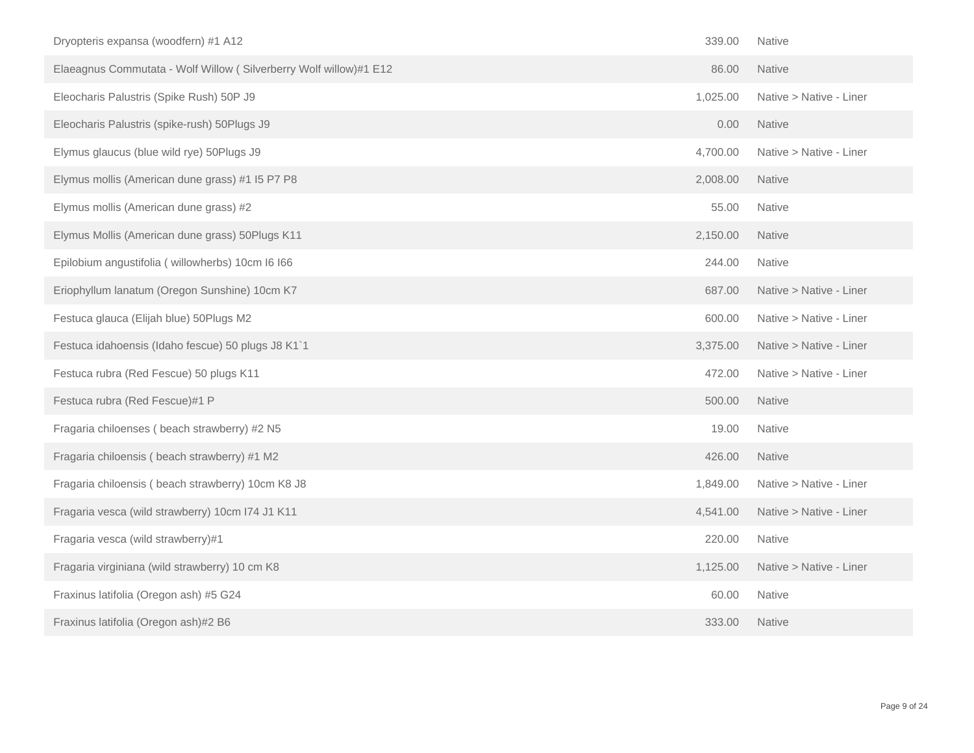| Dryopteris expansa (woodfern) #1 A12                              | 339.00   | <b>Native</b>           |
|-------------------------------------------------------------------|----------|-------------------------|
| Elaeagnus Commutata - Wolf Willow (Silverberry Wolf willow)#1 E12 | 86.00    | <b>Native</b>           |
| Eleocharis Palustris (Spike Rush) 50P J9                          | 1,025.00 | Native > Native - Liner |
| Eleocharis Palustris (spike-rush) 50Plugs J9                      | 0.00     | <b>Native</b>           |
| Elymus glaucus (blue wild rye) 50Plugs J9                         | 4,700.00 | Native > Native - Liner |
| Elymus mollis (American dune grass) #1 I5 P7 P8                   | 2,008.00 | <b>Native</b>           |
| Elymus mollis (American dune grass) #2                            | 55.00    | Native                  |
| Elymus Mollis (American dune grass) 50Plugs K11                   | 2,150.00 | <b>Native</b>           |
| Epilobium angustifolia (willowherbs) 10cm I6 I66                  | 244.00   | Native                  |
| Eriophyllum lanatum (Oregon Sunshine) 10cm K7                     | 687.00   | Native > Native - Liner |
| Festuca glauca (Elijah blue) 50Plugs M2                           | 600.00   | Native > Native - Liner |
| Festuca idahoensis (Idaho fescue) 50 plugs J8 K1`1                | 3,375.00 | Native > Native - Liner |
| Festuca rubra (Red Fescue) 50 plugs K11                           | 472.00   | Native > Native - Liner |
| Festuca rubra (Red Fescue)#1 P                                    | 500.00   | Native                  |
| Fragaria chiloenses (beach strawberry) #2 N5                      | 19.00    | Native                  |
| Fragaria chiloensis (beach strawberry) #1 M2                      | 426.00   | <b>Native</b>           |
| Fragaria chiloensis (beach strawberry) 10cm K8 J8                 | 1,849.00 | Native > Native - Liner |
| Fragaria vesca (wild strawberry) 10cm I74 J1 K11                  | 4,541.00 | Native > Native - Liner |
| Fragaria vesca (wild strawberry)#1                                | 220.00   | Native                  |
| Fragaria virginiana (wild strawberry) 10 cm K8                    | 1,125.00 | Native > Native - Liner |
| Fraxinus latifolia (Oregon ash) #5 G24                            | 60.00    | <b>Native</b>           |
| Fraxinus latifolia (Oregon ash)#2 B6                              | 333.00   | <b>Native</b>           |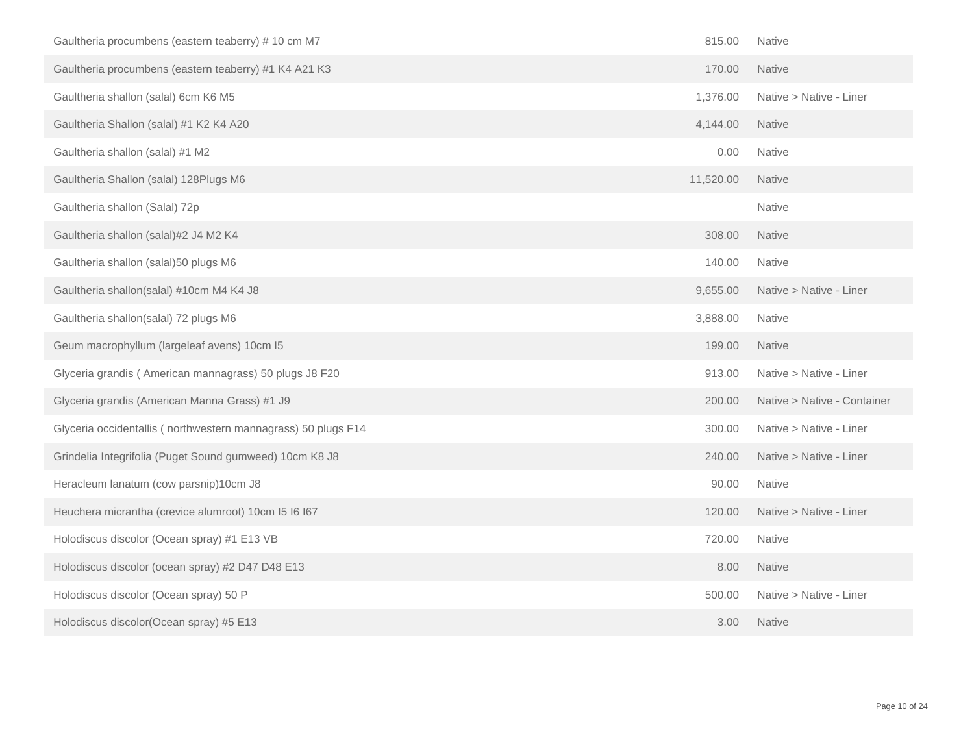| Gaultheria procumbens (eastern teaberry) # 10 cm M7           | 815.00    | Native                      |
|---------------------------------------------------------------|-----------|-----------------------------|
| Gaultheria procumbens (eastern teaberry) #1 K4 A21 K3         | 170.00    | Native                      |
| Gaultheria shallon (salal) 6cm K6 M5                          | 1,376.00  | Native > Native - Liner     |
| Gaultheria Shallon (salal) #1 K2 K4 A20                       | 4,144.00  | <b>Native</b>               |
| Gaultheria shallon (salal) #1 M2                              | 0.00      | Native                      |
| Gaultheria Shallon (salal) 128Plugs M6                        | 11,520.00 | <b>Native</b>               |
| Gaultheria shallon (Salal) 72p                                |           | Native                      |
| Gaultheria shallon (salal)#2 J4 M2 K4                         | 308.00    | <b>Native</b>               |
| Gaultheria shallon (salal) 50 plugs M6                        | 140.00    | Native                      |
| Gaultheria shallon(salal) #10cm M4 K4 J8                      | 9,655.00  | Native > Native - Liner     |
| Gaultheria shallon(salal) 72 plugs M6                         | 3,888.00  | <b>Native</b>               |
| Geum macrophyllum (largeleaf avens) 10cm I5                   | 199.00    | <b>Native</b>               |
| Glyceria grandis (American mannagrass) 50 plugs J8 F20        | 913.00    | Native > Native - Liner     |
| Glyceria grandis (American Manna Grass) #1 J9                 | 200.00    | Native > Native - Container |
| Glyceria occidentallis (northwestern mannagrass) 50 plugs F14 | 300.00    | Native > Native - Liner     |
| Grindelia Integrifolia (Puget Sound gumweed) 10cm K8 J8       | 240.00    | Native > Native - Liner     |
| Heracleum lanatum (cow parsnip)10cm J8                        | 90.00     | Native                      |
| Heuchera micrantha (crevice alumroot) 10cm I5 I6 I67          | 120.00    | Native > Native - Liner     |
| Holodiscus discolor (Ocean spray) #1 E13 VB                   | 720.00    | Native                      |
| Holodiscus discolor (ocean spray) #2 D47 D48 E13              | 8.00      | Native                      |
| Holodiscus discolor (Ocean spray) 50 P                        | 500.00    | Native > Native - Liner     |
| Holodiscus discolor(Ocean spray) #5 E13                       | 3.00      | <b>Native</b>               |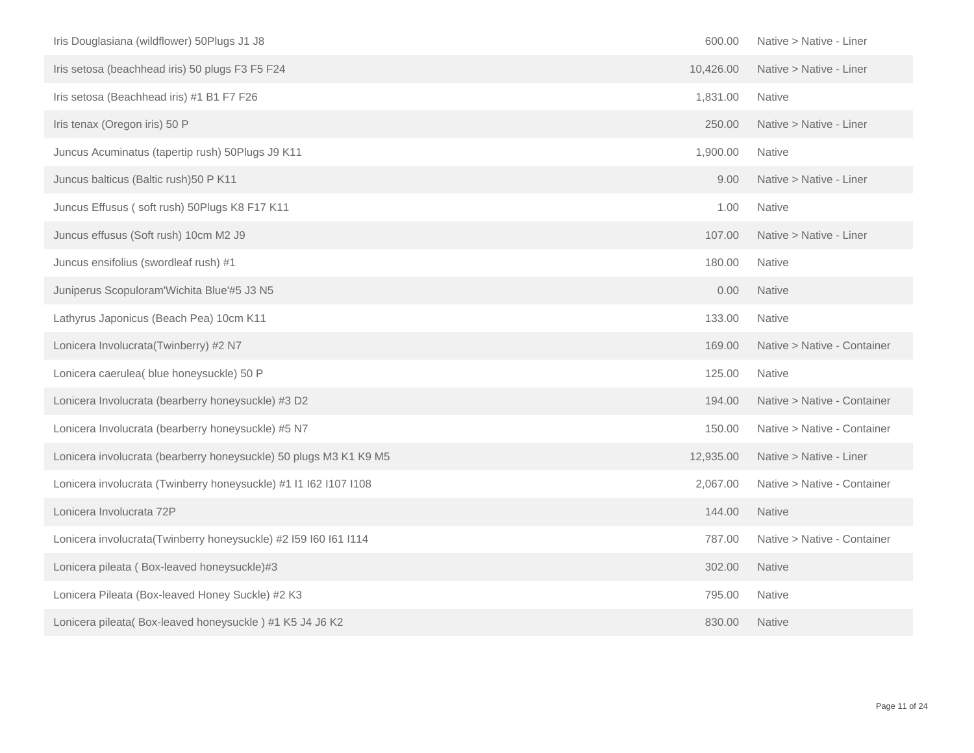| Iris Douglasiana (wildflower) 50Plugs J1 J8                       | 600.00    | Native > Native - Liner     |
|-------------------------------------------------------------------|-----------|-----------------------------|
| Iris setosa (beachhead iris) 50 plugs F3 F5 F24                   | 10,426.00 | Native > Native - Liner     |
| Iris setosa (Beachhead iris) #1 B1 F7 F26                         | 1,831.00  | <b>Native</b>               |
| Iris tenax (Oregon iris) 50 P                                     | 250.00    | Native > Native - Liner     |
| Juncus Acuminatus (tapertip rush) 50Plugs J9 K11                  | 1,900.00  | Native                      |
| Juncus balticus (Baltic rush) 50 P K11                            | 9.00      | Native > Native - Liner     |
| Juncus Effusus (soft rush) 50Plugs K8 F17 K11                     | 1.00      | Native                      |
| Juncus effusus (Soft rush) 10cm M2 J9                             | 107.00    | Native > Native - Liner     |
| Juncus ensifolius (swordleaf rush) #1                             | 180.00    | <b>Native</b>               |
| Juniperus Scopuloram'Wichita Blue'#5 J3 N5                        | 0.00      | <b>Native</b>               |
| Lathyrus Japonicus (Beach Pea) 10cm K11                           | 133.00    | <b>Native</b>               |
| Lonicera Involucrata(Twinberry) #2 N7                             | 169.00    | Native > Native - Container |
| Lonicera caerulea( blue honeysuckle) 50 P                         | 125.00    | <b>Native</b>               |
| Lonicera Involucrata (bearberry honeysuckle) #3 D2                | 194.00    | Native > Native - Container |
| Lonicera Involucrata (bearberry honeysuckle) #5 N7                | 150.00    | Native > Native - Container |
| Lonicera involucrata (bearberry honeysuckle) 50 plugs M3 K1 K9 M5 | 12,935.00 | Native > Native - Liner     |
| Lonicera involucrata (Twinberry honeysuckle) #1 I1 I62 I107 I108  | 2,067.00  | Native > Native - Container |
| Lonicera Involucrata 72P                                          | 144.00    | <b>Native</b>               |
| Lonicera involucrata(Twinberry honeysuckle) #2 I59 I60 I61 I114   | 787.00    | Native > Native - Container |
| Lonicera pileata (Box-leaved honeysuckle)#3                       | 302.00    | Native                      |
| Lonicera Pileata (Box-leaved Honey Suckle) #2 K3                  | 795.00    | Native                      |
| Lonicera pileata(Box-leaved honeysuckle) #1 K5 J4 J6 K2           | 830.00    | <b>Native</b>               |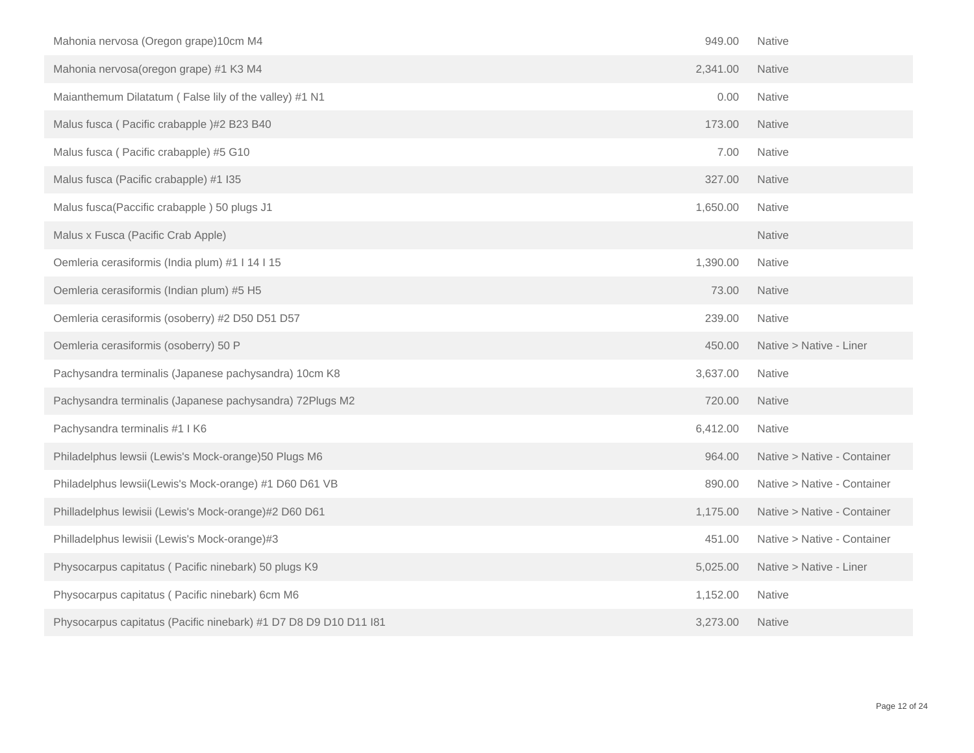| Mahonia nervosa (Oregon grape)10cm M4                            | 949.00   | <b>Native</b>               |
|------------------------------------------------------------------|----------|-----------------------------|
| Mahonia nervosa(oregon grape) #1 K3 M4                           | 2,341.00 | <b>Native</b>               |
| Maianthemum Dilatatum (False lily of the valley) #1 N1           | 0.00     | Native                      |
| Malus fusca (Pacific crabapple)#2 B23 B40                        | 173.00   | <b>Native</b>               |
| Malus fusca (Pacific crabapple) #5 G10                           | 7.00     | Native                      |
| Malus fusca (Pacific crabapple) #1 I35                           | 327.00   | <b>Native</b>               |
| Malus fusca(Paccific crabapple) 50 plugs J1                      | 1,650.00 | <b>Native</b>               |
| Malus x Fusca (Pacific Crab Apple)                               |          | Native                      |
| Oemleria cerasiformis (India plum) #1   14   15                  | 1,390.00 | <b>Native</b>               |
| Oemleria cerasiformis (Indian plum) #5 H5                        | 73.00    | <b>Native</b>               |
| Oemleria cerasiformis (osoberry) #2 D50 D51 D57                  | 239.00   | Native                      |
| Oemleria cerasiformis (osoberry) 50 P                            | 450.00   | Native > Native - Liner     |
| Pachysandra terminalis (Japanese pachysandra) 10cm K8            | 3,637.00 | Native                      |
| Pachysandra terminalis (Japanese pachysandra) 72Plugs M2         | 720.00   | <b>Native</b>               |
| Pachysandra terminalis #1 I K6                                   | 6,412.00 | Native                      |
| Philadelphus lewsii (Lewis's Mock-orange)50 Plugs M6             | 964.00   | Native > Native - Container |
| Philadelphus lewsii(Lewis's Mock-orange) #1 D60 D61 VB           | 890.00   | Native > Native - Container |
| Philladelphus lewisii (Lewis's Mock-orange)#2 D60 D61            | 1,175.00 | Native > Native - Container |
| Philladelphus lewisii (Lewis's Mock-orange)#3                    | 451.00   | Native > Native - Container |
| Physocarpus capitatus (Pacific ninebark) 50 plugs K9             | 5,025.00 | Native > Native - Liner     |
| Physocarpus capitatus (Pacific ninebark) 6cm M6                  | 1,152.00 | Native                      |
| Physocarpus capitatus (Pacific ninebark) #1 D7 D8 D9 D10 D11 I81 | 3,273.00 | <b>Native</b>               |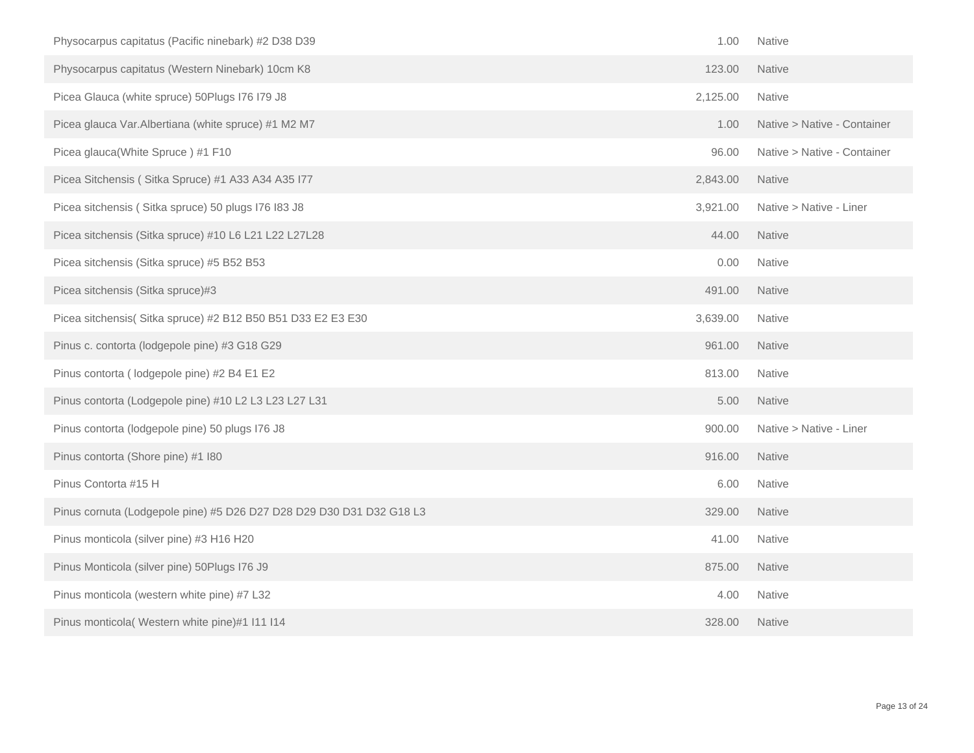| Physocarpus capitatus (Pacific ninebark) #2 D38 D39                  | 1.00     | Native                      |
|----------------------------------------------------------------------|----------|-----------------------------|
| Physocarpus capitatus (Western Ninebark) 10cm K8                     | 123.00   | <b>Native</b>               |
| Picea Glauca (white spruce) 50Plugs I76 I79 J8                       | 2,125.00 | Native                      |
| Picea glauca Var.Albertiana (white spruce) #1 M2 M7                  | 1.00     | Native > Native - Container |
| Picea glauca(White Spruce) #1 F10                                    | 96.00    | Native > Native - Container |
| Picea Sitchensis (Sitka Spruce) #1 A33 A34 A35 I77                   | 2,843.00 | Native                      |
| Picea sitchensis (Sitka spruce) 50 plugs I76 I83 J8                  | 3,921.00 | Native > Native - Liner     |
| Picea sitchensis (Sitka spruce) #10 L6 L21 L22 L27L28                | 44.00    | <b>Native</b>               |
| Picea sitchensis (Sitka spruce) #5 B52 B53                           | 0.00     | Native                      |
| Picea sitchensis (Sitka spruce)#3                                    | 491.00   | <b>Native</b>               |
| Picea sitchensis(Sitka spruce) #2 B12 B50 B51 D33 E2 E3 E30          | 3,639.00 | <b>Native</b>               |
| Pinus c. contorta (lodgepole pine) #3 G18 G29                        | 961.00   | <b>Native</b>               |
| Pinus contorta (lodgepole pine) #2 B4 E1 E2                          | 813.00   | Native                      |
| Pinus contorta (Lodgepole pine) #10 L2 L3 L23 L27 L31                | 5.00     | Native                      |
| Pinus contorta (lodgepole pine) 50 plugs I76 J8                      | 900.00   | Native > Native - Liner     |
| Pinus contorta (Shore pine) #1 I80                                   | 916.00   | Native                      |
| Pinus Contorta #15 H                                                 | 6.00     | <b>Native</b>               |
| Pinus cornuta (Lodgepole pine) #5 D26 D27 D28 D29 D30 D31 D32 G18 L3 | 329.00   | <b>Native</b>               |
| Pinus monticola (silver pine) #3 H16 H20                             | 41.00    | Native                      |
| Pinus Monticola (silver pine) 50Plugs I76 J9                         | 875.00   | Native                      |
| Pinus monticola (western white pine) #7 L32                          | 4.00     | Native                      |
| Pinus monticola( Western white pine)#1 I11 I14                       | 328.00   | <b>Native</b>               |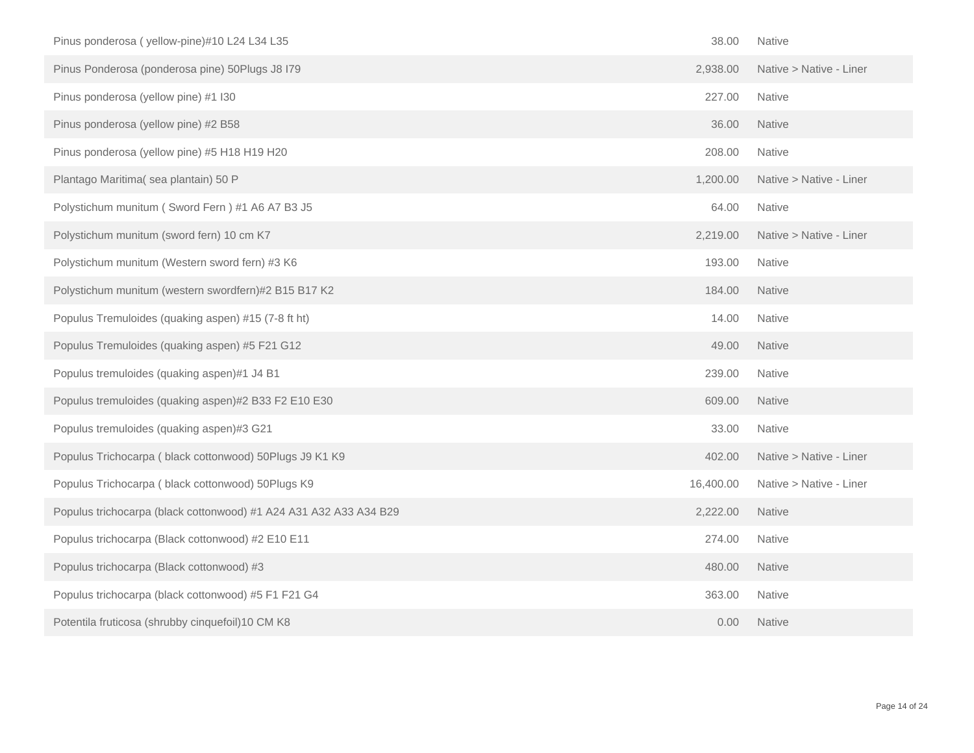| Pinus ponderosa (yellow-pine)#10 L24 L34 L35                      | 38.00     | <b>Native</b>           |
|-------------------------------------------------------------------|-----------|-------------------------|
| Pinus Ponderosa (ponderosa pine) 50Plugs J8 I79                   | 2,938.00  | Native > Native - Liner |
| Pinus ponderosa (yellow pine) #1 I30                              | 227.00    | Native                  |
| Pinus ponderosa (yellow pine) #2 B58                              | 36.00     | <b>Native</b>           |
| Pinus ponderosa (yellow pine) #5 H18 H19 H20                      | 208.00    | <b>Native</b>           |
| Plantago Maritima(sea plantain) 50 P                              | 1,200.00  | Native > Native - Liner |
| Polystichum munitum (Sword Fern) #1 A6 A7 B3 J5                   | 64.00     | <b>Native</b>           |
| Polystichum munitum (sword fern) 10 cm K7                         | 2,219.00  | Native > Native - Liner |
| Polystichum munitum (Western sword fern) #3 K6                    | 193.00    | Native                  |
| Polystichum munitum (western swordfern)#2 B15 B17 K2              | 184.00    | <b>Native</b>           |
| Populus Tremuloides (quaking aspen) #15 (7-8 ft ht)               | 14.00     | <b>Native</b>           |
| Populus Tremuloides (quaking aspen) #5 F21 G12                    | 49.00     | Native                  |
| Populus tremuloides (quaking aspen)#1 J4 B1                       | 239.00    | <b>Native</b>           |
| Populus tremuloides (quaking aspen)#2 B33 F2 E10 E30              | 609.00    | <b>Native</b>           |
| Populus tremuloides (quaking aspen)#3 G21                         | 33.00     | Native                  |
| Populus Trichocarpa (black cottonwood) 50Plugs J9 K1 K9           | 402.00    | Native > Native - Liner |
| Populus Trichocarpa (black cottonwood) 50Plugs K9                 | 16,400.00 | Native > Native - Liner |
| Populus trichocarpa (black cottonwood) #1 A24 A31 A32 A33 A34 B29 | 2,222.00  | <b>Native</b>           |
| Populus trichocarpa (Black cottonwood) #2 E10 E11                 | 274.00    | Native                  |
| Populus trichocarpa (Black cottonwood) #3                         | 480.00    | <b>Native</b>           |
| Populus trichocarpa (black cottonwood) #5 F1 F21 G4               | 363.00    | <b>Native</b>           |
| Potentila fruticosa (shrubby cinquefoil)10 CM K8                  | 0.00      | <b>Native</b>           |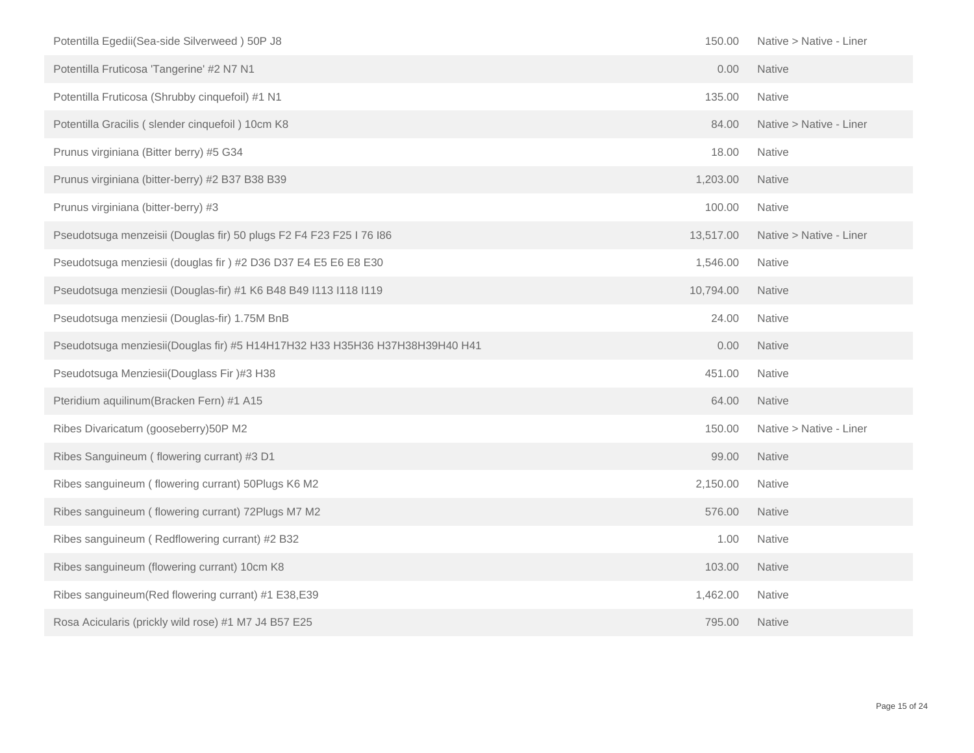| Potentilla Egedii(Sea-side Silverweed) 50P J8                               | 150.00    | Native > Native - Liner |
|-----------------------------------------------------------------------------|-----------|-------------------------|
| Potentilla Fruticosa 'Tangerine' #2 N7 N1                                   | 0.00      | Native                  |
| Potentilla Fruticosa (Shrubby cinquefoil) #1 N1                             | 135.00    | Native                  |
| Potentilla Gracilis (slender cinquefoil) 10cm K8                            | 84.00     | Native > Native - Liner |
| Prunus virginiana (Bitter berry) #5 G34                                     | 18.00     | Native                  |
| Prunus virginiana (bitter-berry) #2 B37 B38 B39                             | 1,203.00  | Native                  |
| Prunus virginiana (bitter-berry) #3                                         | 100.00    | <b>Native</b>           |
| Pseudotsuga menzeisii (Douglas fir) 50 plugs F2 F4 F23 F25 I 76 I86         | 13,517.00 | Native > Native - Liner |
| Pseudotsuga menziesii (douglas fir ) #2 D36 D37 E4 E5 E6 E8 E30             | 1,546.00  | <b>Native</b>           |
| Pseudotsuga menziesii (Douglas-fir) #1 K6 B48 B49 I113 I118 I119            | 10,794.00 | <b>Native</b>           |
| Pseudotsuga menziesii (Douglas-fir) 1.75M BnB                               | 24.00     | Native                  |
| Pseudotsuga menziesii(Douglas fir) #5 H14H17H32 H33 H35H36 H37H38H39H40 H41 | 0.00      | Native                  |
| Pseudotsuga Menziesii(Douglass Fir)#3 H38                                   | 451.00    | Native                  |
| Pteridium aquilinum (Bracken Fern) #1 A15                                   | 64.00     | <b>Native</b>           |
| Ribes Divaricatum (gooseberry)50P M2                                        | 150.00    | Native > Native - Liner |
| Ribes Sanguineum (flowering currant) #3 D1                                  | 99.00     | Native                  |
| Ribes sanguineum (flowering currant) 50Plugs K6 M2                          | 2,150.00  | <b>Native</b>           |
| Ribes sanguineum (flowering currant) 72Plugs M7 M2                          | 576.00    | <b>Native</b>           |
| Ribes sanguineum (Redflowering currant) #2 B32                              | 1.00      | Native                  |
| Ribes sanguineum (flowering currant) 10cm K8                                | 103.00    | Native                  |
| Ribes sanguineum(Red flowering currant) #1 E38,E39                          | 1,462.00  | Native                  |
| Rosa Acicularis (prickly wild rose) #1 M7 J4 B57 E25                        | 795.00    | <b>Native</b>           |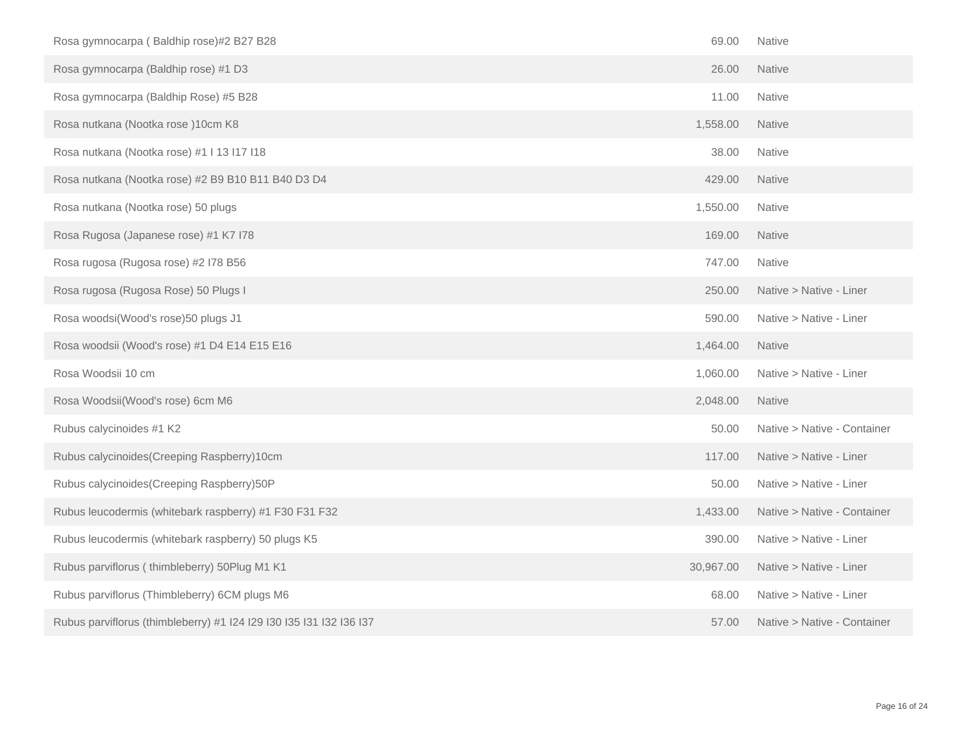| Rosa gymnocarpa (Baldhip rose)#2 B27 B28                            | 69.00     | Native                      |
|---------------------------------------------------------------------|-----------|-----------------------------|
| Rosa gymnocarpa (Baldhip rose) #1 D3                                | 26.00     | Native                      |
| Rosa gymnocarpa (Baldhip Rose) #5 B28                               | 11.00     | Native                      |
| Rosa nutkana (Nootka rose) 10cm K8                                  | 1,558.00  | <b>Native</b>               |
| Rosa nutkana (Nootka rose) #1   13   17   18                        | 38.00     | Native                      |
| Rosa nutkana (Nootka rose) #2 B9 B10 B11 B40 D3 D4                  | 429.00    | <b>Native</b>               |
| Rosa nutkana (Nootka rose) 50 plugs                                 | 1,550.00  | <b>Native</b>               |
| Rosa Rugosa (Japanese rose) #1 K7 I78                               | 169.00    | Native                      |
| Rosa rugosa (Rugosa rose) #2 I78 B56                                | 747.00    | <b>Native</b>               |
| Rosa rugosa (Rugosa Rose) 50 Plugs I                                | 250.00    | Native > Native - Liner     |
| Rosa woodsi(Wood's rose)50 plugs J1                                 | 590.00    | Native > Native - Liner     |
| Rosa woodsii (Wood's rose) #1 D4 E14 E15 E16                        | 1,464.00  | <b>Native</b>               |
| Rosa Woodsii 10 cm                                                  | 1,060.00  | Native > Native - Liner     |
| Rosa Woodsii(Wood's rose) 6cm M6                                    | 2,048.00  | Native                      |
| Rubus calycinoides #1 K2                                            | 50.00     | Native > Native - Container |
| Rubus calycinoides (Creeping Raspberry) 10cm                        | 117.00    | Native > Native - Liner     |
| Rubus calycinoides (Creeping Raspberry) 50P                         | 50.00     | Native > Native - Liner     |
| Rubus leucodermis (whitebark raspberry) #1 F30 F31 F32              | 1,433.00  | Native > Native - Container |
| Rubus leucodermis (whitebark raspberry) 50 plugs K5                 | 390.00    | Native > Native - Liner     |
| Rubus parviflorus (thimbleberry) 50Plug M1 K1                       | 30,967.00 | Native > Native - Liner     |
| Rubus parviflorus (Thimbleberry) 6CM plugs M6                       | 68.00     | Native > Native - Liner     |
| Rubus parviflorus (thimbleberry) #1 I24 I29 I30 I35 I31 I32 I36 I37 | 57.00     | Native > Native - Container |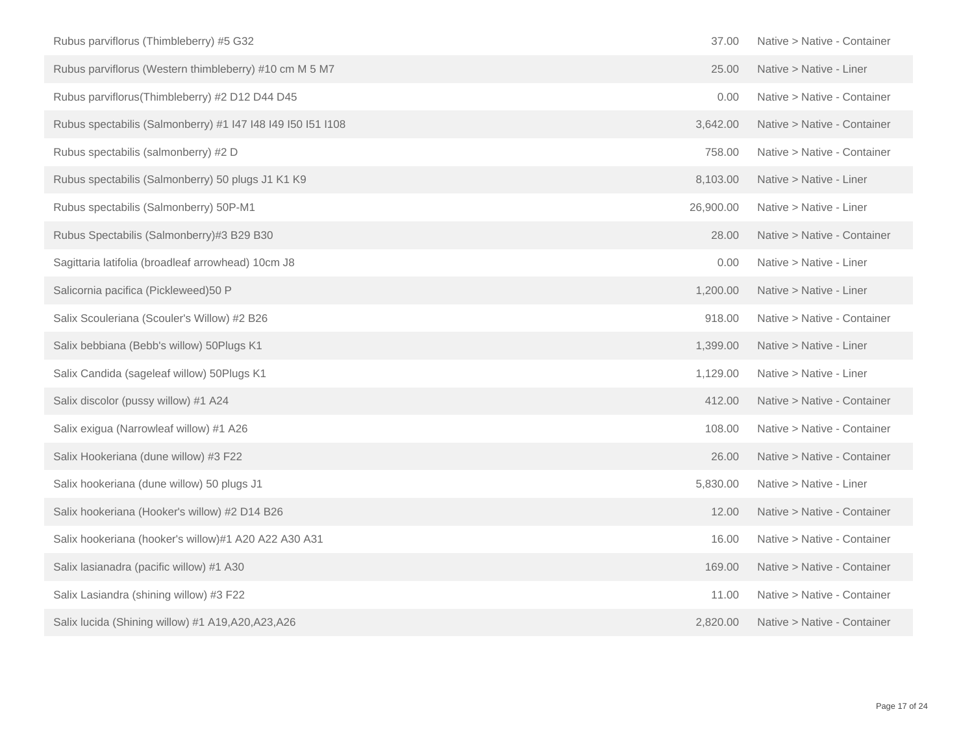| Rubus parviflorus (Thimbleberry) #5 G32                     | 37.00     | Native > Native - Container |
|-------------------------------------------------------------|-----------|-----------------------------|
| Rubus parviflorus (Western thimbleberry) #10 cm M 5 M7      | 25.00     | Native > Native - Liner     |
| Rubus parviflorus(Thimbleberry) #2 D12 D44 D45              | 0.00      | Native > Native - Container |
| Rubus spectabilis (Salmonberry) #1 147 148 149 150 151 1108 | 3,642.00  | Native > Native - Container |
| Rubus spectabilis (salmonberry) #2 D                        | 758.00    | Native > Native - Container |
| Rubus spectabilis (Salmonberry) 50 plugs J1 K1 K9           | 8,103.00  | Native > Native - Liner     |
| Rubus spectabilis (Salmonberry) 50P-M1                      | 26,900.00 | Native > Native - Liner     |
| Rubus Spectabilis (Salmonberry)#3 B29 B30                   | 28.00     | Native > Native - Container |
| Sagittaria latifolia (broadleaf arrowhead) 10cm J8          | 0.00      | Native > Native - Liner     |
| Salicornia pacifica (Pickleweed)50 P                        | 1,200.00  | Native > Native - Liner     |
| Salix Scouleriana (Scouler's Willow) #2 B26                 | 918.00    | Native > Native - Container |
| Salix bebbiana (Bebb's willow) 50Plugs K1                   | 1,399.00  | Native > Native - Liner     |
| Salix Candida (sageleaf willow) 50Plugs K1                  | 1,129.00  | Native > Native - Liner     |
| Salix discolor (pussy willow) #1 A24                        | 412.00    | Native > Native - Container |
| Salix exigua (Narrowleaf willow) #1 A26                     | 108.00    | Native > Native - Container |
| Salix Hookeriana (dune willow) #3 F22                       | 26.00     | Native > Native - Container |
| Salix hookeriana (dune willow) 50 plugs J1                  | 5,830.00  | Native > Native - Liner     |
| Salix hookeriana (Hooker's willow) #2 D14 B26               | 12.00     | Native > Native - Container |
| Salix hookeriana (hooker's willow)#1 A20 A22 A30 A31        | 16.00     | Native > Native - Container |
| Salix lasianadra (pacific willow) #1 A30                    | 169.00    | Native > Native - Container |
| Salix Lasiandra (shining willow) #3 F22                     | 11.00     | Native > Native - Container |
| Salix lucida (Shining willow) #1 A19,A20,A23,A26            | 2,820.00  | Native > Native - Container |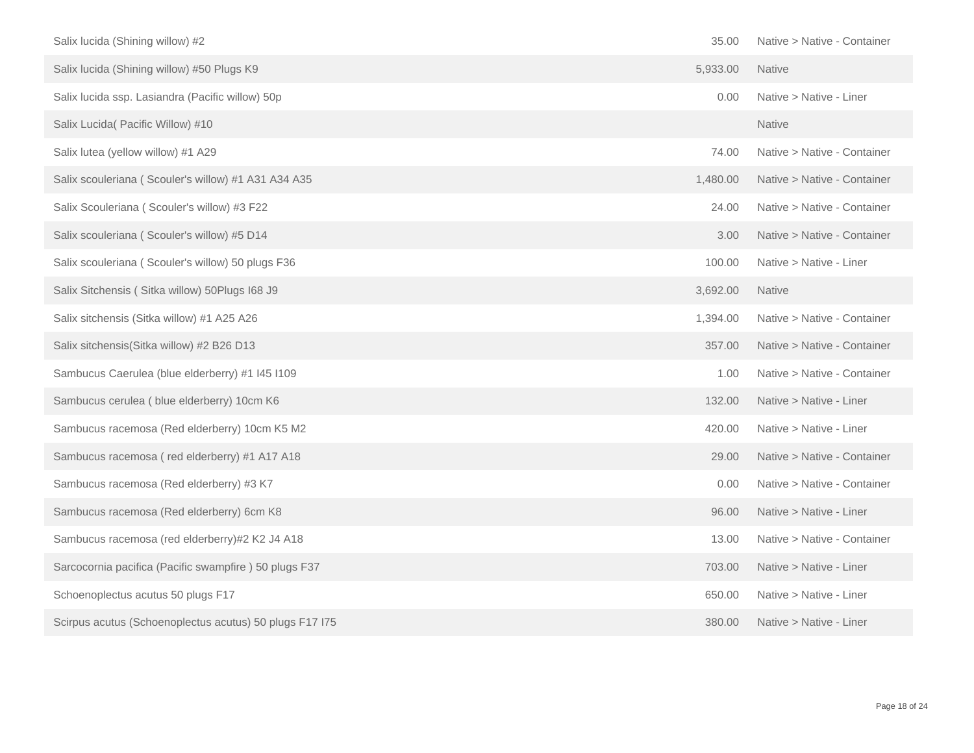| Salix lucida (Shining willow) #2                        | 35.00    | Native > Native - Container |
|---------------------------------------------------------|----------|-----------------------------|
| Salix lucida (Shining willow) #50 Plugs K9              | 5,933.00 | <b>Native</b>               |
| Salix lucida ssp. Lasiandra (Pacific willow) 50p        | 0.00     | Native > Native - Liner     |
| Salix Lucida( Pacific Willow) #10                       |          | <b>Native</b>               |
| Salix lutea (yellow willow) #1 A29                      | 74.00    | Native > Native - Container |
| Salix scouleriana (Scouler's willow) #1 A31 A34 A35     | 1,480.00 | Native > Native - Container |
| Salix Scouleriana (Scouler's willow) #3 F22             | 24.00    | Native > Native - Container |
| Salix scouleriana (Scouler's willow) #5 D14             | 3.00     | Native > Native - Container |
| Salix scouleriana (Scouler's willow) 50 plugs F36       | 100.00   | Native > Native - Liner     |
| Salix Sitchensis (Sitka willow) 50 Plugs 168 J9         | 3,692.00 | <b>Native</b>               |
| Salix sitchensis (Sitka willow) #1 A25 A26              | 1,394.00 | Native > Native - Container |
| Salix sitchensis(Sitka willow) #2 B26 D13               | 357.00   | Native > Native - Container |
| Sambucus Caerulea (blue elderberry) #1 I45 I109         | 1.00     | Native > Native - Container |
| Sambucus cerulea (blue elderberry) 10cm K6              | 132.00   | Native > Native - Liner     |
| Sambucus racemosa (Red elderberry) 10cm K5 M2           | 420.00   | Native > Native - Liner     |
| Sambucus racemosa (red elderberry) #1 A17 A18           | 29.00    | Native > Native - Container |
| Sambucus racemosa (Red elderberry) #3 K7                | 0.00     | Native > Native - Container |
| Sambucus racemosa (Red elderberry) 6cm K8               | 96.00    | Native > Native - Liner     |
| Sambucus racemosa (red elderberry)#2 K2 J4 A18          | 13.00    | Native > Native - Container |
| Sarcocornia pacifica (Pacific swampfire) 50 plugs F37   | 703.00   | Native > Native - Liner     |
| Schoenoplectus acutus 50 plugs F17                      | 650.00   | Native > Native - Liner     |
| Scirpus acutus (Schoenoplectus acutus) 50 plugs F17 I75 | 380.00   | Native > Native - Liner     |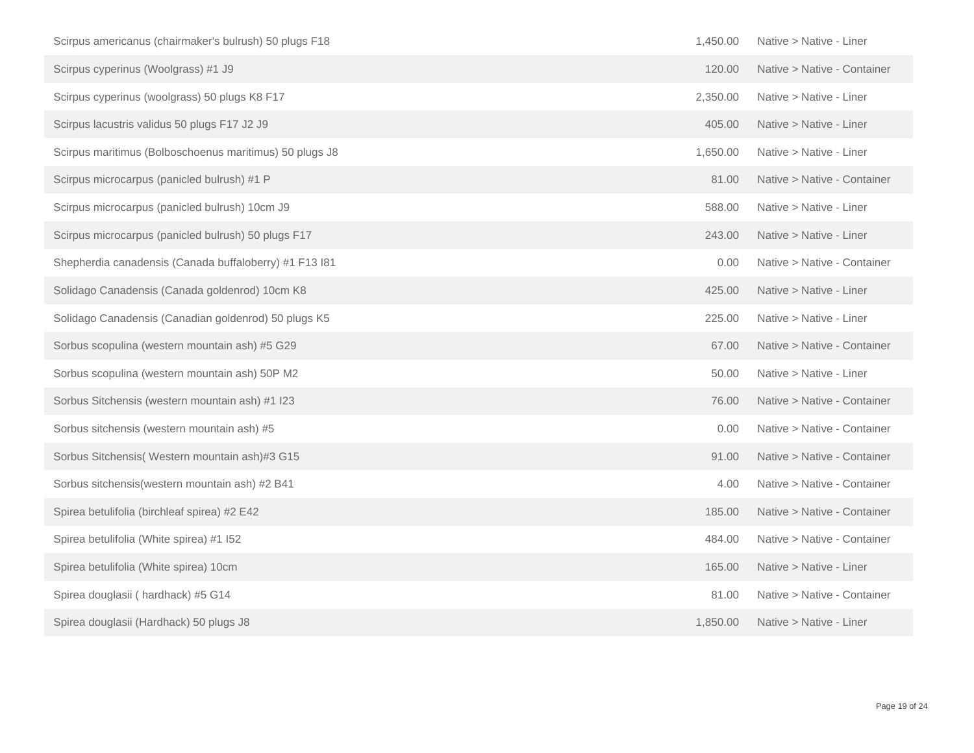| Scirpus americanus (chairmaker's bulrush) 50 plugs F18  | 1,450.00 | Native > Native - Liner     |
|---------------------------------------------------------|----------|-----------------------------|
| Scirpus cyperinus (Woolgrass) #1 J9                     | 120.00   | Native > Native - Container |
| Scirpus cyperinus (woolgrass) 50 plugs K8 F17           | 2,350.00 | Native > Native - Liner     |
| Scirpus lacustris validus 50 plugs F17 J2 J9            | 405.00   | Native > Native - Liner     |
| Scirpus maritimus (Bolboschoenus maritimus) 50 plugs J8 | 1,650.00 | Native > Native - Liner     |
| Scirpus microcarpus (panicled bulrush) #1 P             | 81.00    | Native > Native - Container |
| Scirpus microcarpus (panicled bulrush) 10cm J9          | 588.00   | Native > Native - Liner     |
| Scirpus microcarpus (panicled bulrush) 50 plugs F17     | 243.00   | Native > Native - Liner     |
| Shepherdia canadensis (Canada buffaloberry) #1 F13 l81  | 0.00     | Native > Native - Container |
| Solidago Canadensis (Canada goldenrod) 10cm K8          | 425.00   | Native > Native - Liner     |
| Solidago Canadensis (Canadian goldenrod) 50 plugs K5    | 225.00   | Native > Native - Liner     |
| Sorbus scopulina (western mountain ash) #5 G29          | 67.00    | Native > Native - Container |
| Sorbus scopulina (western mountain ash) 50P M2          | 50.00    | Native > Native - Liner     |
| Sorbus Sitchensis (western mountain ash) #1 I23         | 76.00    | Native > Native - Container |
| Sorbus sitchensis (western mountain ash) #5             | 0.00     | Native > Native - Container |
| Sorbus Sitchensis (Western mountain ash)#3 G15          | 91.00    | Native > Native - Container |
| Sorbus sitchensis (western mountain ash) #2 B41         | 4.00     | Native > Native - Container |
| Spirea betulifolia (birchleaf spirea) #2 E42            | 185.00   | Native > Native - Container |
| Spirea betulifolia (White spirea) #1 I52                | 484.00   | Native > Native - Container |
| Spirea betulifolia (White spirea) 10cm                  | 165.00   | Native > Native - Liner     |
| Spirea douglasii (hardhack) #5 G14                      | 81.00    | Native > Native - Container |
| Spirea douglasii (Hardhack) 50 plugs J8                 | 1,850.00 | Native > Native - Liner     |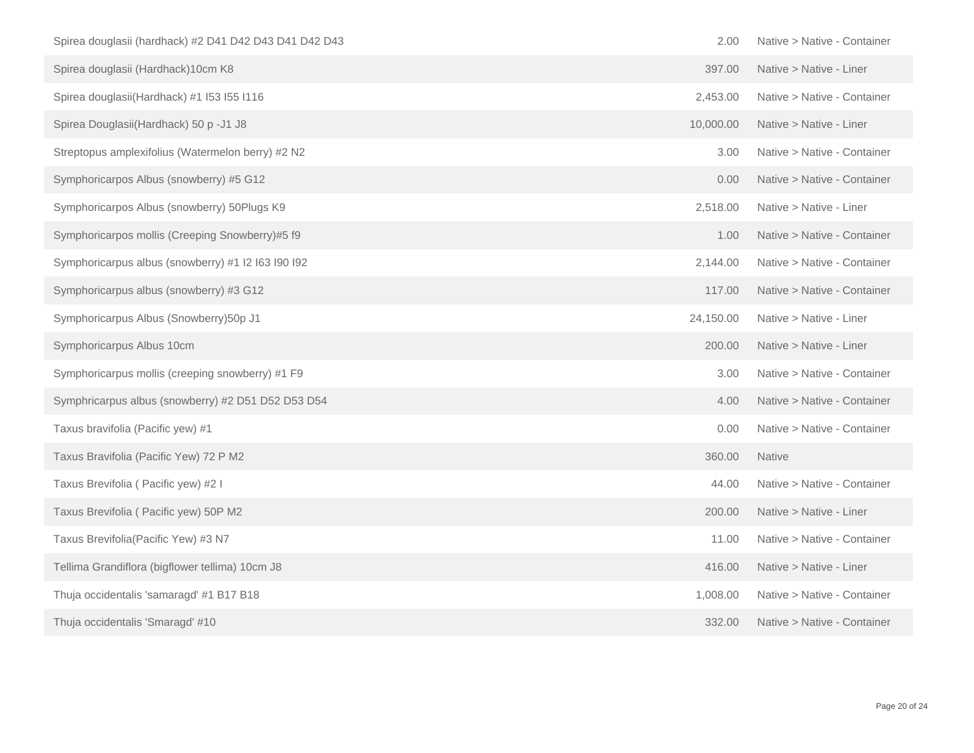| Spirea douglasii (hardhack) #2 D41 D42 D43 D41 D42 D43 | 2.00      | Native > Native - Container |
|--------------------------------------------------------|-----------|-----------------------------|
| Spirea douglasii (Hardhack)10cm K8                     | 397.00    | Native > Native - Liner     |
| Spirea douglasii(Hardhack) #1 I53 I55 I116             | 2,453.00  | Native > Native - Container |
| Spirea Douglasii(Hardhack) 50 p - J1 J8                | 10,000.00 | Native > Native - Liner     |
| Streptopus amplexifolius (Watermelon berry) #2 N2      | 3.00      | Native > Native - Container |
| Symphoricarpos Albus (snowberry) #5 G12                | 0.00      | Native > Native - Container |
| Symphoricarpos Albus (snowberry) 50Plugs K9            | 2,518.00  | Native > Native - Liner     |
| Symphoricarpos mollis (Creeping Snowberry)#5 f9        | 1.00      | Native > Native - Container |
| Symphoricarpus albus (snowberry) #1 I2 I63 I90 I92     | 2,144.00  | Native > Native - Container |
| Symphoricarpus albus (snowberry) #3 G12                | 117.00    | Native > Native - Container |
| Symphoricarpus Albus (Snowberry)50p J1                 | 24,150.00 | Native > Native - Liner     |
| Symphoricarpus Albus 10cm                              | 200.00    | Native > Native - Liner     |
| Symphoricarpus mollis (creeping snowberry) #1 F9       | 3.00      | Native > Native - Container |
| Symphricarpus albus (snowberry) #2 D51 D52 D53 D54     | 4.00      | Native > Native - Container |
| Taxus bravifolia (Pacific yew) #1                      | 0.00      | Native > Native - Container |
| Taxus Bravifolia (Pacific Yew) 72 P M2                 | 360.00    | Native                      |
| Taxus Brevifolia (Pacific yew) #2 I                    | 44.00     | Native > Native - Container |
| Taxus Brevifolia ( Pacific yew) 50P M2                 | 200.00    | Native > Native - Liner     |
| Taxus Brevifolia(Pacific Yew) #3 N7                    | 11.00     | Native > Native - Container |
| Tellima Grandiflora (bigflower tellima) 10cm J8        | 416.00    | Native > Native - Liner     |
| Thuja occidentalis 'samaragd' #1 B17 B18               | 1,008.00  | Native > Native - Container |
| Thuja occidentalis 'Smaragd' #10                       | 332.00    | Native > Native - Container |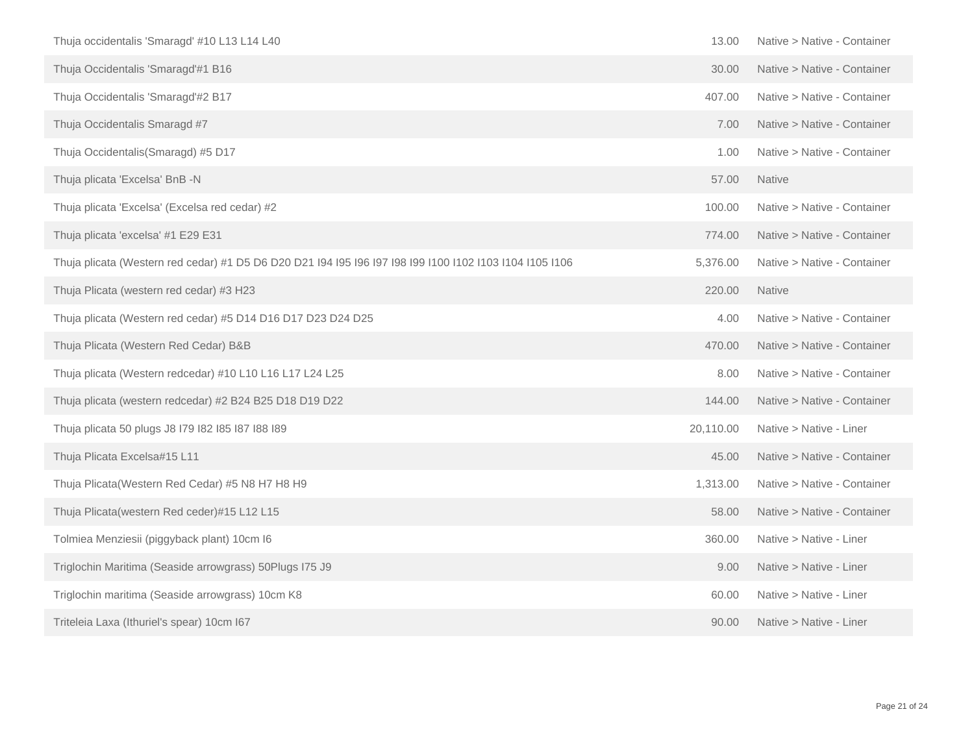| Thuja occidentalis 'Smaragd' #10 L13 L14 L40                                                             | 13.00     | Native > Native - Container |
|----------------------------------------------------------------------------------------------------------|-----------|-----------------------------|
| Thuja Occidentalis 'Smaragd'#1 B16                                                                       | 30.00     | Native > Native - Container |
| Thuja Occidentalis 'Smaragd'#2 B17                                                                       | 407.00    | Native > Native - Container |
| Thuja Occidentalis Smaragd #7                                                                            | 7.00      | Native > Native - Container |
| Thuja Occidentalis (Smaragd) #5 D17                                                                      | 1.00      | Native > Native - Container |
| Thuja plicata 'Excelsa' BnB -N                                                                           | 57.00     | <b>Native</b>               |
| Thuja plicata 'Excelsa' (Excelsa red cedar) #2                                                           | 100.00    | Native > Native - Container |
| Thuja plicata 'excelsa' #1 E29 E31                                                                       | 774.00    | Native > Native - Container |
| Thuja plicata (Western red cedar) #1 D5 D6 D20 D21 I94 I95 I96 I97 I98 I99 I100 I102 I103 I104 I105 I106 | 5,376.00  | Native > Native - Container |
| Thuja Plicata (western red cedar) #3 H23                                                                 | 220.00    | <b>Native</b>               |
| Thuja plicata (Western red cedar) #5 D14 D16 D17 D23 D24 D25                                             | 4.00      | Native > Native - Container |
| Thuja Plicata (Western Red Cedar) B&B                                                                    | 470.00    | Native > Native - Container |
| Thuja plicata (Western redcedar) #10 L10 L16 L17 L24 L25                                                 | 8.00      | Native > Native - Container |
| Thuja plicata (western redcedar) #2 B24 B25 D18 D19 D22                                                  | 144.00    | Native > Native - Container |
| Thuja plicata 50 plugs J8 I79 I82 I85 I87 I88 I89                                                        | 20,110.00 | Native > Native - Liner     |
| Thuja Plicata Excelsa#15 L11                                                                             | 45.00     | Native > Native - Container |
| Thuja Plicata(Western Red Cedar) #5 N8 H7 H8 H9                                                          | 1,313.00  | Native > Native - Container |
| Thuja Plicata(western Red ceder)#15 L12 L15                                                              | 58.00     | Native > Native - Container |
| Tolmiea Menziesii (piggyback plant) 10cm I6                                                              | 360.00    | Native > Native - Liner     |
| Triglochin Maritima (Seaside arrowgrass) 50Plugs I75 J9                                                  | 9.00      | Native > Native - Liner     |
| Triglochin maritima (Seaside arrowgrass) 10cm K8                                                         | 60.00     | Native > Native - Liner     |
| Triteleia Laxa (Ithuriel's spear) 10cm I67                                                               | 90.00     | Native > Native - Liner     |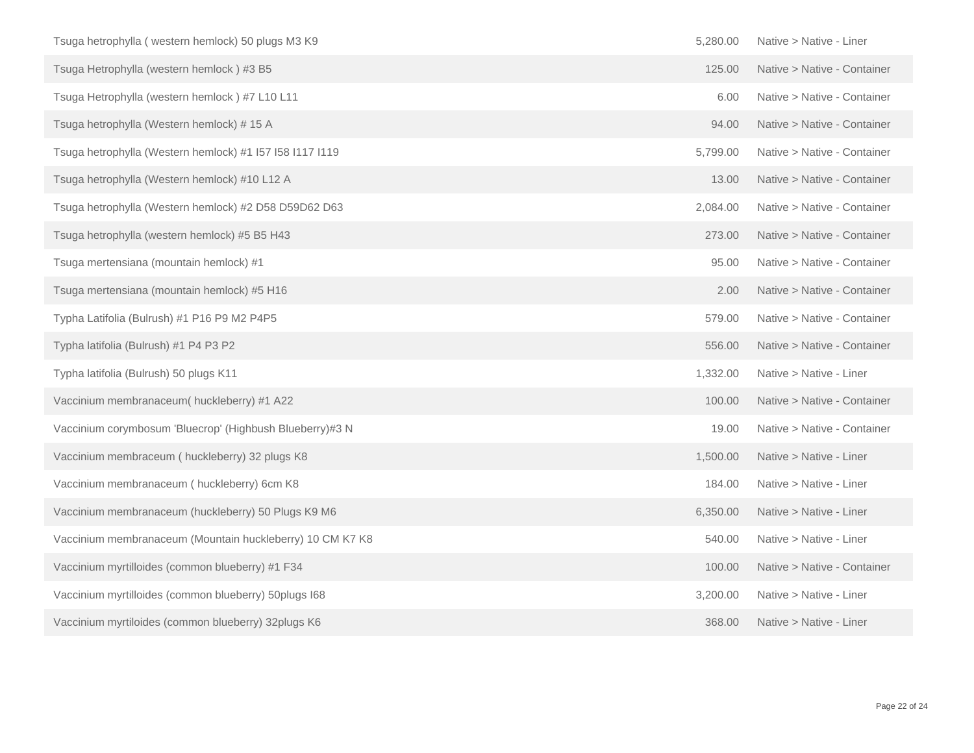| Tsuga hetrophylla (western hemlock) 50 plugs M3 K9        | 5,280.00 | Native > Native - Liner     |
|-----------------------------------------------------------|----------|-----------------------------|
| Tsuga Hetrophylla (western hemlock) #3 B5                 | 125.00   | Native > Native - Container |
| Tsuga Hetrophylla (western hemlock) #7 L10 L11            | 6.00     | Native > Native - Container |
| Tsuga hetrophylla (Western hemlock) #15 A                 | 94.00    | Native > Native - Container |
| Tsuga hetrophylla (Western hemlock) #1 I57 I58 I117 I119  | 5,799.00 | Native > Native - Container |
| Tsuga hetrophylla (Western hemlock) #10 L12 A             | 13.00    | Native > Native - Container |
| Tsuga hetrophylla (Western hemlock) #2 D58 D59D62 D63     | 2,084.00 | Native > Native - Container |
| Tsuga hetrophylla (western hemlock) #5 B5 H43             | 273.00   | Native > Native - Container |
| Tsuga mertensiana (mountain hemlock) #1                   | 95.00    | Native > Native - Container |
| Tsuga mertensiana (mountain hemlock) #5 H16               | 2.00     | Native > Native - Container |
| Typha Latifolia (Bulrush) #1 P16 P9 M2 P4P5               | 579.00   | Native > Native - Container |
| Typha latifolia (Bulrush) #1 P4 P3 P2                     | 556.00   | Native > Native - Container |
| Typha latifolia (Bulrush) 50 plugs K11                    | 1,332.00 | Native > Native - Liner     |
| Vaccinium membranaceum( huckleberry) #1 A22               | 100.00   | Native > Native - Container |
| Vaccinium corymbosum 'Bluecrop' (Highbush Blueberry)#3 N  | 19.00    | Native > Native - Container |
| Vaccinium membraceum (huckleberry) 32 plugs K8            | 1,500.00 | Native > Native - Liner     |
| Vaccinium membranaceum (huckleberry) 6cm K8               | 184.00   | Native > Native - Liner     |
| Vaccinium membranaceum (huckleberry) 50 Plugs K9 M6       | 6,350.00 | Native > Native - Liner     |
| Vaccinium membranaceum (Mountain huckleberry) 10 CM K7 K8 | 540.00   | Native > Native - Liner     |
| Vaccinium myrtilloides (common blueberry) #1 F34          | 100.00   | Native > Native - Container |
| Vaccinium myrtilloides (common blueberry) 50plugs I68     | 3,200.00 | Native > Native - Liner     |
| Vaccinium myrtiloides (common blueberry) 32plugs K6       | 368.00   | Native > Native - Liner     |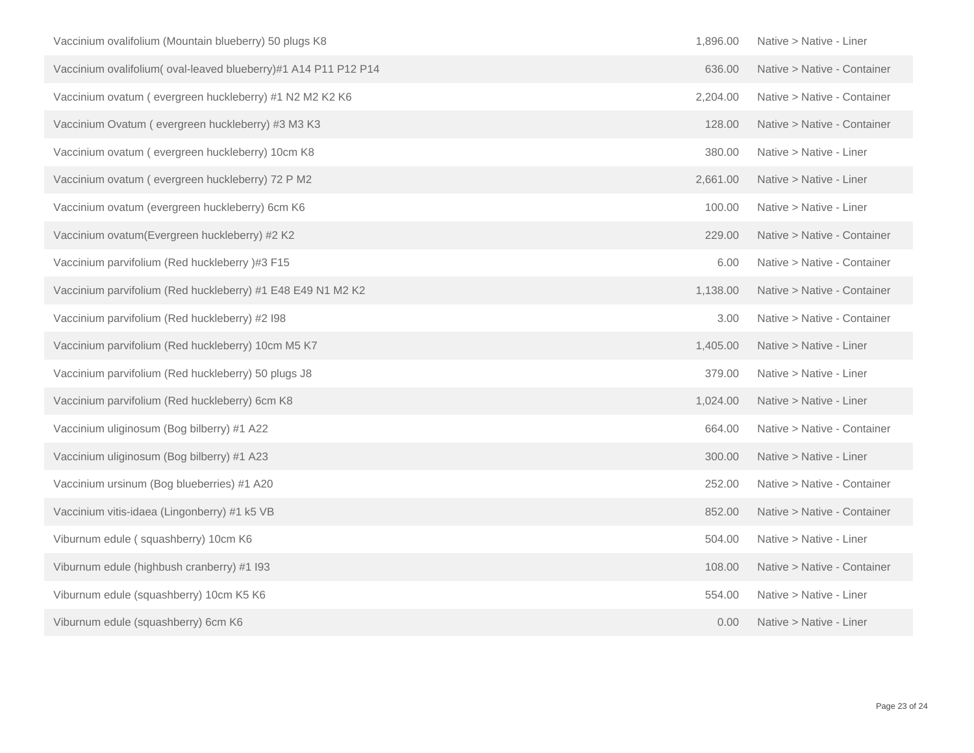| Vaccinium ovalifolium (Mountain blueberry) 50 plugs K8         | 1,896.00 | Native > Native - Liner     |
|----------------------------------------------------------------|----------|-----------------------------|
| Vaccinium ovalifolium(oval-leaved blueberry)#1 A14 P11 P12 P14 | 636.00   | Native > Native - Container |
| Vaccinium ovatum (evergreen huckleberry) #1 N2 M2 K2 K6        | 2,204.00 | Native > Native - Container |
| Vaccinium Ovatum (evergreen huckleberry) #3 M3 K3              | 128.00   | Native > Native - Container |
| Vaccinium ovatum (evergreen huckleberry) 10cm K8               | 380.00   | Native > Native - Liner     |
| Vaccinium ovatum (evergreen huckleberry) 72 P M2               | 2,661.00 | Native > Native - Liner     |
| Vaccinium ovatum (evergreen huckleberry) 6cm K6                | 100.00   | Native > Native - Liner     |
| Vaccinium ovatum(Evergreen huckleberry) #2 K2                  | 229.00   | Native > Native - Container |
| Vaccinium parvifolium (Red huckleberry)#3 F15                  | 6.00     | Native > Native - Container |
| Vaccinium parvifolium (Red huckleberry) #1 E48 E49 N1 M2 K2    | 1,138.00 | Native > Native - Container |
| Vaccinium parvifolium (Red huckleberry) #2 I98                 | 3.00     | Native > Native - Container |
| Vaccinium parvifolium (Red huckleberry) 10cm M5 K7             | 1,405.00 | Native > Native - Liner     |
| Vaccinium parvifolium (Red huckleberry) 50 plugs J8            | 379.00   | Native > Native - Liner     |
| Vaccinium parvifolium (Red huckleberry) 6cm K8                 | 1,024.00 | Native > Native - Liner     |
| Vaccinium uliginosum (Bog bilberry) #1 A22                     | 664.00   | Native > Native - Container |
| Vaccinium uliginosum (Bog bilberry) #1 A23                     | 300.00   | Native > Native - Liner     |
| Vaccinium ursinum (Bog blueberries) #1 A20                     | 252.00   | Native > Native - Container |
| Vaccinium vitis-idaea (Lingonberry) #1 k5 VB                   | 852.00   | Native > Native - Container |
| Viburnum edule (squashberry) 10cm K6                           | 504.00   | Native > Native - Liner     |
| Viburnum edule (highbush cranberry) #1 I93                     | 108.00   | Native > Native - Container |
| Viburnum edule (squashberry) 10cm K5 K6                        | 554.00   | Native > Native - Liner     |
| Viburnum edule (squashberry) 6cm K6                            | 0.00     | Native > Native - Liner     |